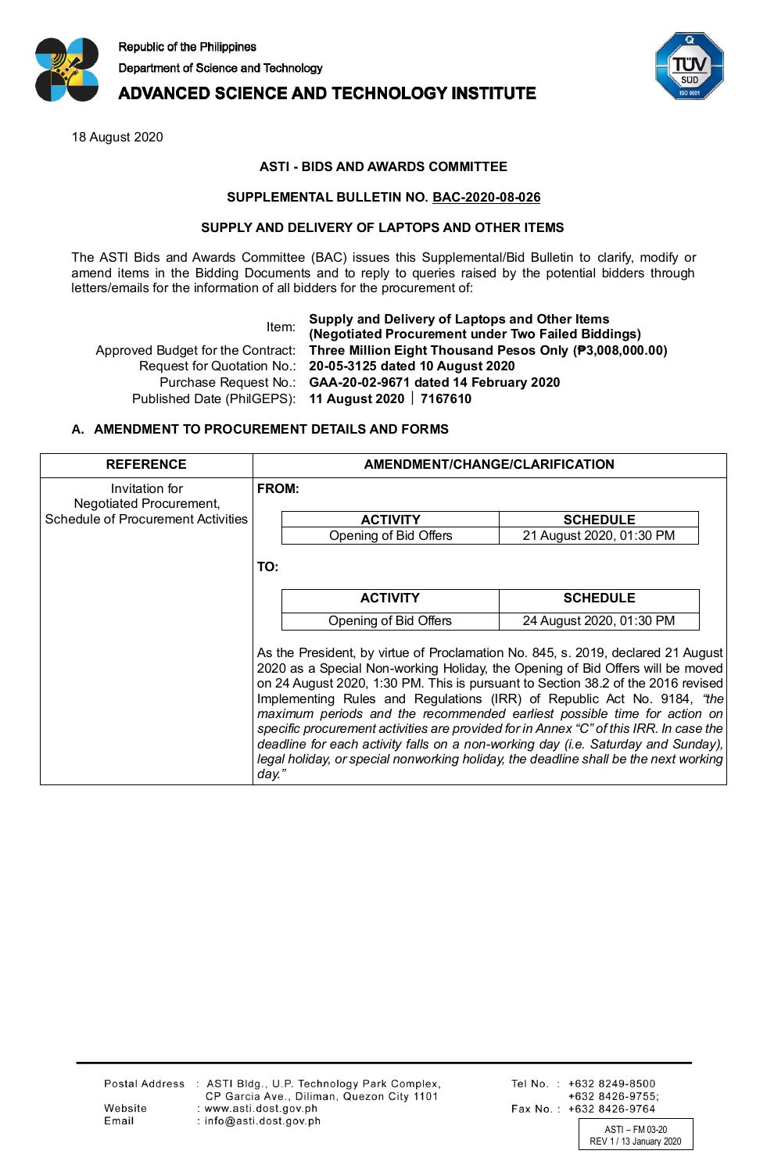

## **ADVANCED SCIENCE AND TECHNOLOGY INSTITUTE**

18 August 2020

## **ASTI - BIDS AND AWARDS COMMITTEE**

### **SUPPLEMENTAL BULLETIN NO. BAC-2020-08-026**

#### **SUPPLY AND DELIVERY OF LAPTOPS AND OTHER ITEMS**

The ASTI Bids and Awards Committee (BAC) issues this Supplemental/Bid Bulletin to clarify, modify or amend items in the Bidding Documents and to reply to queries raised by the potential bidders through letters/emails for the information of all bidders for the procurement of:

Item: **Supply and Delivery of Laptops and Other Items (Negotiated Procurement under Two Failed Biddings)** Approved Budget for the Contract: **Three Million Eight Thousand Pesos Only (₱3,008,000.00)** Request for Quotation No.: **20-05-3125 dated 10 August 2020** Purchase Request No.: **GAA-20-02-9671 dated 14 February 2020** Published Date (PhilGEPS): **11 August 2020 7167610**

## **A. AMENDMENT TO PROCUREMENT DETAILS AND FORMS**

| <b>REFERENCE</b>                          | AMENDMENT/CHANGE/CLARIFICATION                                                                                                                                                                                                                                                                                                                                                                                                                                                                                                                                                                                                                                                                |                          |  |
|-------------------------------------------|-----------------------------------------------------------------------------------------------------------------------------------------------------------------------------------------------------------------------------------------------------------------------------------------------------------------------------------------------------------------------------------------------------------------------------------------------------------------------------------------------------------------------------------------------------------------------------------------------------------------------------------------------------------------------------------------------|--------------------------|--|
| Invitation for<br>Negotiated Procurement, | FROM:                                                                                                                                                                                                                                                                                                                                                                                                                                                                                                                                                                                                                                                                                         |                          |  |
| <b>Schedule of Procurement Activities</b> | <b>ACTIVITY</b>                                                                                                                                                                                                                                                                                                                                                                                                                                                                                                                                                                                                                                                                               | <b>SCHEDULE</b>          |  |
|                                           | Opening of Bid Offers                                                                                                                                                                                                                                                                                                                                                                                                                                                                                                                                                                                                                                                                         | 21 August 2020, 01:30 PM |  |
|                                           | TO:                                                                                                                                                                                                                                                                                                                                                                                                                                                                                                                                                                                                                                                                                           |                          |  |
|                                           | <b>ACTIVITY</b>                                                                                                                                                                                                                                                                                                                                                                                                                                                                                                                                                                                                                                                                               | <b>SCHEDULE</b>          |  |
|                                           | Opening of Bid Offers                                                                                                                                                                                                                                                                                                                                                                                                                                                                                                                                                                                                                                                                         | 24 August 2020, 01:30 PM |  |
|                                           | As the President, by virtue of Proclamation No. 845, s. 2019, declared 21 August<br>2020 as a Special Non-working Holiday, the Opening of Bid Offers will be moved<br>on 24 August 2020, 1:30 PM. This is pursuant to Section 38.2 of the 2016 revised<br>Implementing Rules and Regulations (IRR) of Republic Act No. 9184, "the<br>maximum periods and the recommended earliest possible time for action on<br>specific procurement activities are provided for in Annex "C" of this IRR. In case the<br>deadline for each activity falls on a non-working day (i.e. Saturday and Sunday),<br>legal holiday, or special nonworking holiday, the deadline shall be the next working<br>day." |                          |  |

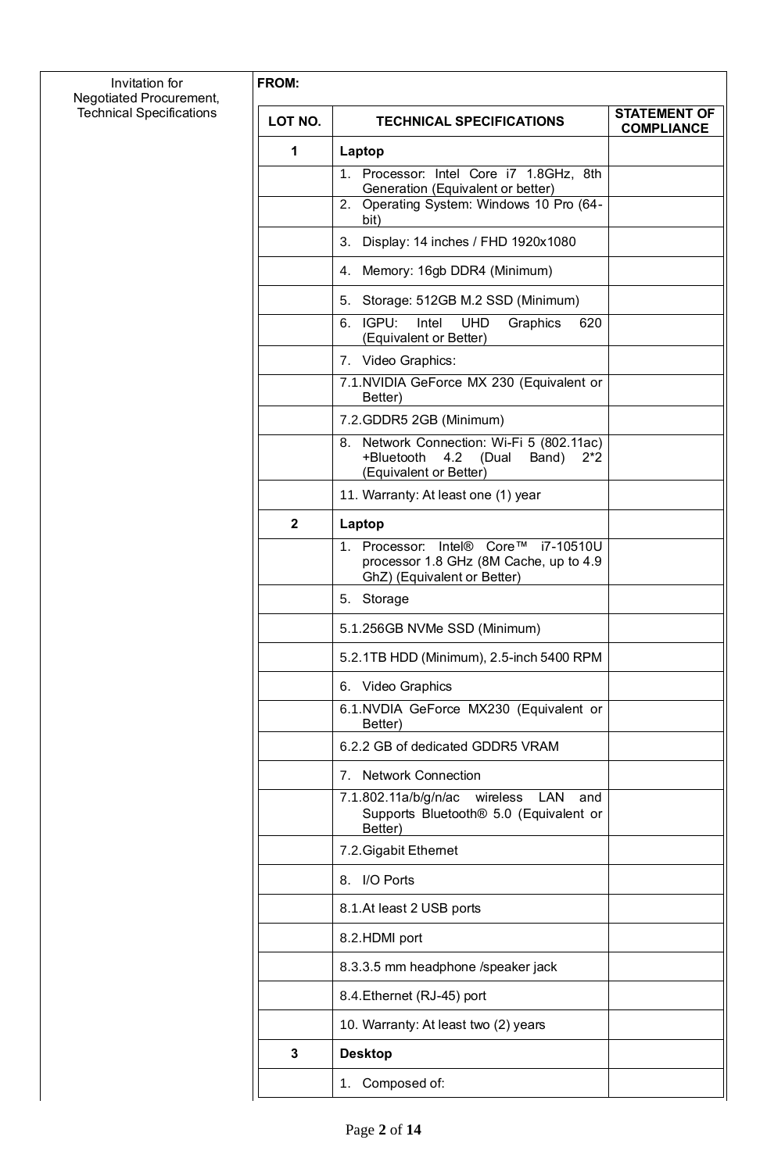| Invitation for<br>Negotiated Procurement, | FROM:            |                                                                                                                         |                                          |
|-------------------------------------------|------------------|-------------------------------------------------------------------------------------------------------------------------|------------------------------------------|
| <b>Technical Specifications</b>           | LOT NO.          | <b>TECHNICAL SPECIFICATIONS</b>                                                                                         | <b>STATEMENT OF</b><br><b>COMPLIANCE</b> |
|                                           | 1                | Laptop                                                                                                                  |                                          |
|                                           |                  | 1. Processor: Intel Core i7 1.8GHz, 8th<br>Generation (Equivalent or better)                                            |                                          |
|                                           |                  | 2. Operating System: Windows 10 Pro (64-<br>bit)                                                                        |                                          |
|                                           |                  | Display: 14 inches / FHD 1920x1080<br>3.                                                                                |                                          |
|                                           |                  | 4. Memory: 16gb DDR4 (Minimum)                                                                                          |                                          |
|                                           |                  | 5. Storage: 512GB M.2 SSD (Minimum)                                                                                     |                                          |
|                                           |                  | IGPU:<br>Intel<br><b>UHD</b><br>Graphics<br>620<br>6.<br>(Equivalent or Better)                                         |                                          |
|                                           |                  | 7. Video Graphics:                                                                                                      |                                          |
|                                           |                  | 7.1. NVIDIA GeForce MX 230 (Equivalent or<br>Better)                                                                    |                                          |
|                                           |                  | 7.2. GDDR5 2GB (Minimum)                                                                                                |                                          |
|                                           |                  | Network Connection: Wi-Fi 5 (802.11ac)<br>8.<br>+Bluetooth<br>4.2<br>(Dual<br>Band)<br>$2^*2$<br>(Equivalent or Better) |                                          |
|                                           |                  | 11. Warranty: At least one (1) year                                                                                     |                                          |
|                                           | $\boldsymbol{2}$ | Laptop                                                                                                                  |                                          |
|                                           |                  | 1. Processor: Intel® Core™ i7-10510U<br>processor 1.8 GHz (8M Cache, up to 4.9<br>GhZ) (Equivalent or Better)           |                                          |
|                                           |                  | 5. Storage                                                                                                              |                                          |
|                                           |                  | 5.1.256GB NVMe SSD (Minimum)                                                                                            |                                          |
|                                           |                  | 5.2.1TB HDD (Minimum), 2.5-inch 5400 RPM                                                                                |                                          |
|                                           |                  | 6. Video Graphics                                                                                                       |                                          |
|                                           |                  | 6.1.NVDIA GeForce MX230 (Equivalent or<br>Better)                                                                       |                                          |
|                                           |                  | 6.2.2 GB of dedicated GDDR5 VRAM                                                                                        |                                          |
|                                           |                  | 7. Network Connection                                                                                                   |                                          |
|                                           |                  | 7.1.802.11a/b/g/n/ac wireless LAN<br>and<br>Supports Bluetooth <sup>®</sup> 5.0 (Equivalent or<br>Better)               |                                          |
|                                           |                  | 7.2. Gigabit Ethernet                                                                                                   |                                          |
|                                           |                  | 8. I/O Ports                                                                                                            |                                          |
|                                           |                  | 8.1.At least 2 USB ports                                                                                                |                                          |
|                                           |                  | 8.2.HDMI port                                                                                                           |                                          |
|                                           |                  | 8.3.3.5 mm headphone /speaker jack                                                                                      |                                          |
|                                           |                  | 8.4. Ethernet (RJ-45) port                                                                                              |                                          |
|                                           |                  | 10. Warranty: At least two (2) years                                                                                    |                                          |
|                                           | 3                | <b>Desktop</b>                                                                                                          |                                          |
|                                           |                  | 1. Composed of:                                                                                                         |                                          |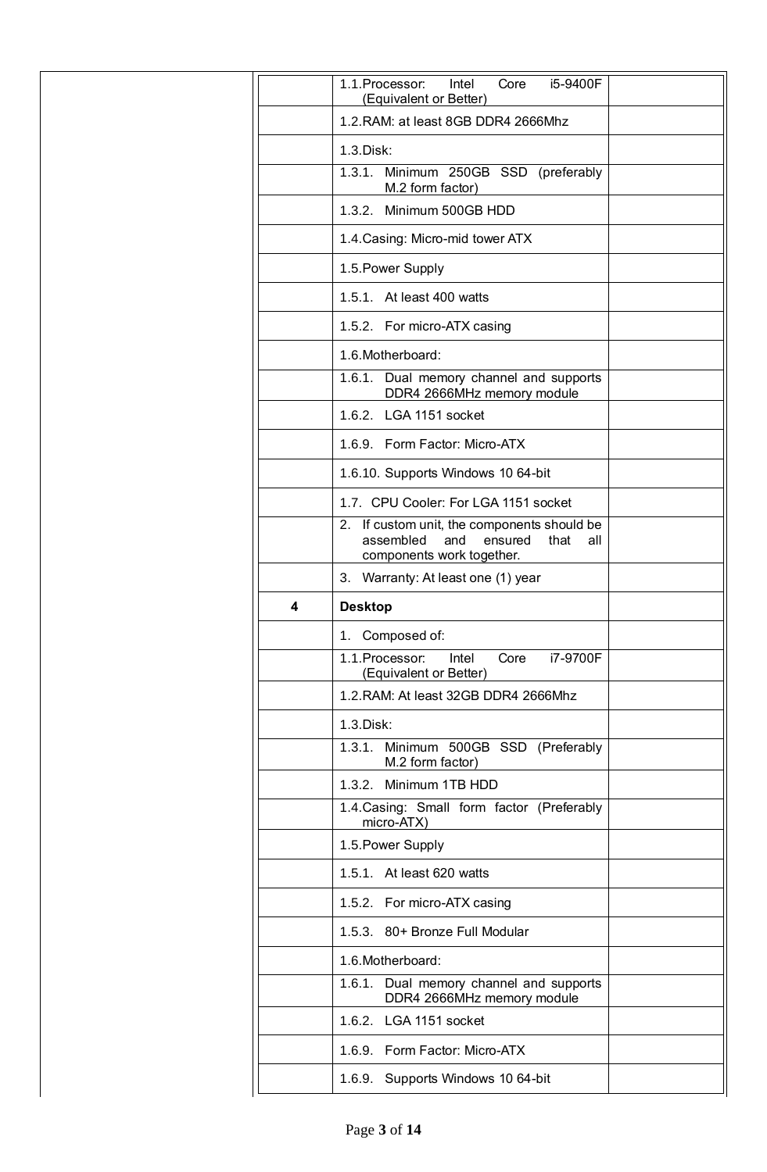|   | 1.1. Processor:<br>i5-9400F<br>Intel<br>Core<br>(Equivalent or Better)                                                 |  |
|---|------------------------------------------------------------------------------------------------------------------------|--|
|   | 1.2. RAM: at least 8GB DDR4 2666Mhz                                                                                    |  |
|   | 1.3. Disk:                                                                                                             |  |
|   | 1.3.1.<br>Minimum 250GB SSD (preferably<br>M.2 form factor)                                                            |  |
|   | 1.3.2. Minimum 500GB HDD                                                                                               |  |
|   | 1.4. Casing: Micro-mid tower ATX                                                                                       |  |
|   | 1.5. Power Supply                                                                                                      |  |
|   | 1.5.1. At least 400 watts                                                                                              |  |
|   | 1.5.2. For micro-ATX casing                                                                                            |  |
|   | 1.6. Motherboard:                                                                                                      |  |
|   | 1.6.1. Dual memory channel and supports<br>DDR4 2666MHz memory module                                                  |  |
|   | 1.6.2. LGA 1151 socket                                                                                                 |  |
|   | 1.6.9. Form Factor: Micro-ATX                                                                                          |  |
|   | 1.6.10. Supports Windows 10 64-bit                                                                                     |  |
|   | 1.7. CPU Cooler: For LGA 1151 socket                                                                                   |  |
|   | 2. If custom unit, the components should be<br>assembled<br>and<br>ensured<br>that<br>all<br>components work together. |  |
|   | 3. Warranty: At least one (1) year                                                                                     |  |
|   |                                                                                                                        |  |
| 4 | <b>Desktop</b>                                                                                                         |  |
|   | 1. Composed of:                                                                                                        |  |
|   | i7-9700F<br>1.1. Processor:<br>Intel<br>Core<br>(Equivalent or Better)                                                 |  |
|   | 1.2. RAM: At least 32GB DDR4 2666Mhz                                                                                   |  |
|   | 1.3. Disk:                                                                                                             |  |
|   | 1.3.1. Minimum 500GB SSD (Preferably<br>M.2 form factor)                                                               |  |
|   | 1.3.2. Minimum 1TB HDD                                                                                                 |  |
|   | 1.4. Casing: Small form factor (Preferably<br>micro-ATX)                                                               |  |
|   | 1.5. Power Supply                                                                                                      |  |
|   | 1.5.1. At least 620 watts                                                                                              |  |
|   | 1.5.2. For micro-ATX casing                                                                                            |  |
|   | 1.5.3. 80+ Bronze Full Modular                                                                                         |  |
|   | 1.6. Motherboard:                                                                                                      |  |
|   | 1.6.1. Dual memory channel and supports<br>DDR4 2666MHz memory module                                                  |  |
|   | 1.6.2. LGA 1151 socket                                                                                                 |  |
|   | 1.6.9. Form Factor: Micro-ATX                                                                                          |  |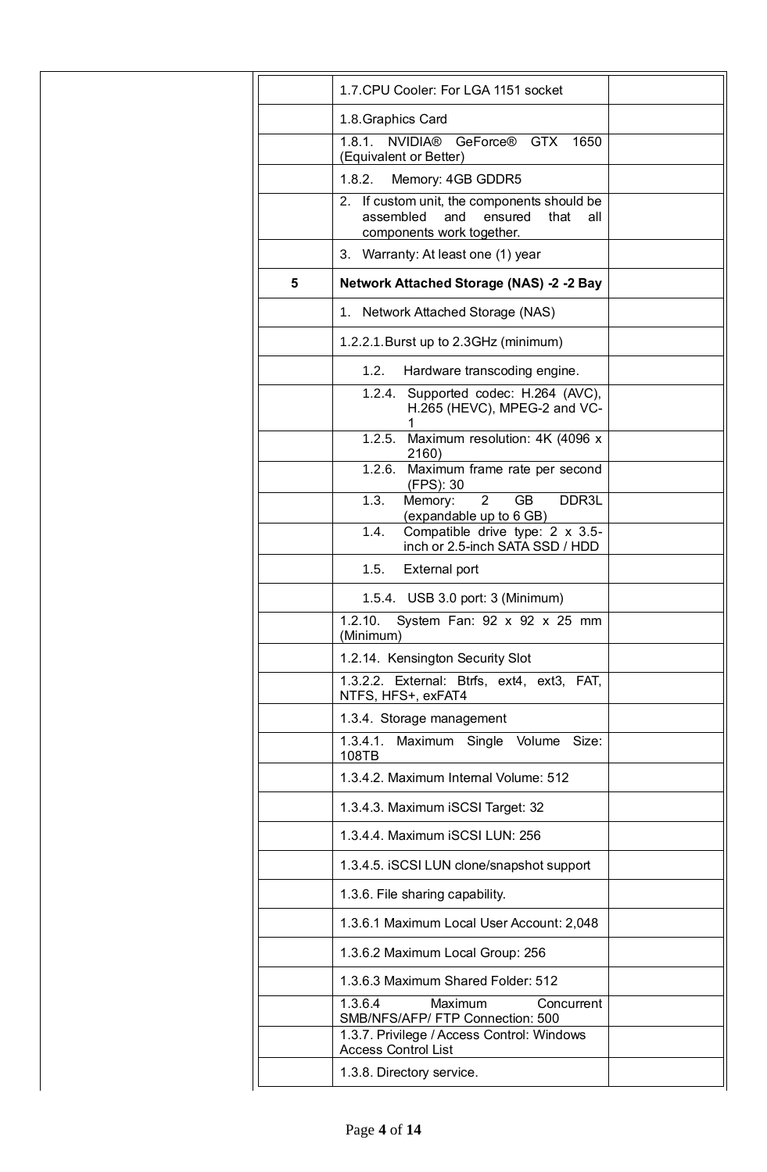|   | 1.7. CPU Cooler: For LGA 1151 socket                                                                                   |  |
|---|------------------------------------------------------------------------------------------------------------------------|--|
|   | 1.8. Graphics Card                                                                                                     |  |
|   | NVIDIA® GeForce® GTX 1650<br>1.8.1.<br>(Equivalent or Better)                                                          |  |
|   | 1.8.2.<br>Memory: 4GB GDDR5                                                                                            |  |
|   | 2. If custom unit, the components should be<br>assembled<br>and<br>ensured<br>that<br>all<br>components work together. |  |
|   | 3. Warranty: At least one (1) year                                                                                     |  |
| 5 | <b>Network Attached Storage (NAS) -2 -2 Bay</b>                                                                        |  |
|   | 1. Network Attached Storage (NAS)                                                                                      |  |
|   | 1.2.2.1. Burst up to 2.3 GHz (minimum)                                                                                 |  |
|   | 1.2.<br>Hardware transcoding engine.                                                                                   |  |
|   | 1.2.4. Supported codec: H.264 (AVC),<br>H.265 (HEVC), MPEG-2 and VC-                                                   |  |
|   | 1.2.5. Maximum resolution: 4K (4096 x<br>2160)                                                                         |  |
|   | 1.2.6. Maximum frame rate per second<br>(FPS): 30                                                                      |  |
|   | $\overline{2}$<br><b>GB</b><br>1.3.<br>DDR3L<br>Memory:<br>(expandable up to 6 GB)                                     |  |
|   | Compatible drive type: 2 x 3.5-<br>1.4.<br>inch or 2.5-inch SATA SSD / HDD                                             |  |
|   | 1.5.<br><b>External port</b>                                                                                           |  |
|   | 1.5.4. USB 3.0 port: 3 (Minimum)                                                                                       |  |
|   | System Fan: 92 x 92 x 25 mm<br>1.2.10.<br>(Minimum)                                                                    |  |
|   | 1.2.14. Kensington Security Slot                                                                                       |  |
|   | 1.3.2.2. External: Btrfs, ext4, ext3, FAT,<br>NTFS, HFS+, exFAT4                                                       |  |
|   | 1.3.4. Storage management                                                                                              |  |
|   | 1.3.4.1. Maximum Single Volume Size:<br>108TB                                                                          |  |
|   | 1.3.4.2. Maximum Internal Volume: 512                                                                                  |  |
|   | 1.3.4.3. Maximum iSCSI Target: 32                                                                                      |  |
|   | 1.3.4.4. Maximum iSCSI LUN: 256                                                                                        |  |
|   | 1.3.4.5. ISCSI LUN clone/snapshot support                                                                              |  |
|   | 1.3.6. File sharing capability.                                                                                        |  |
|   | 1.3.6.1 Maximum Local User Account: 2,048                                                                              |  |
|   | 1.3.6.2 Maximum Local Group: 256                                                                                       |  |
|   | 1.3.6.3 Maximum Shared Folder: 512                                                                                     |  |
|   | 1.3.6.4<br>Maximum<br>Concurrent<br>SMB/NFS/AFP/ FTP Connection: 500<br>1.3.7. Privilege / Access Control: Windows     |  |
|   | <b>Access Control List</b><br>1.3.8. Directory service.                                                                |  |
|   |                                                                                                                        |  |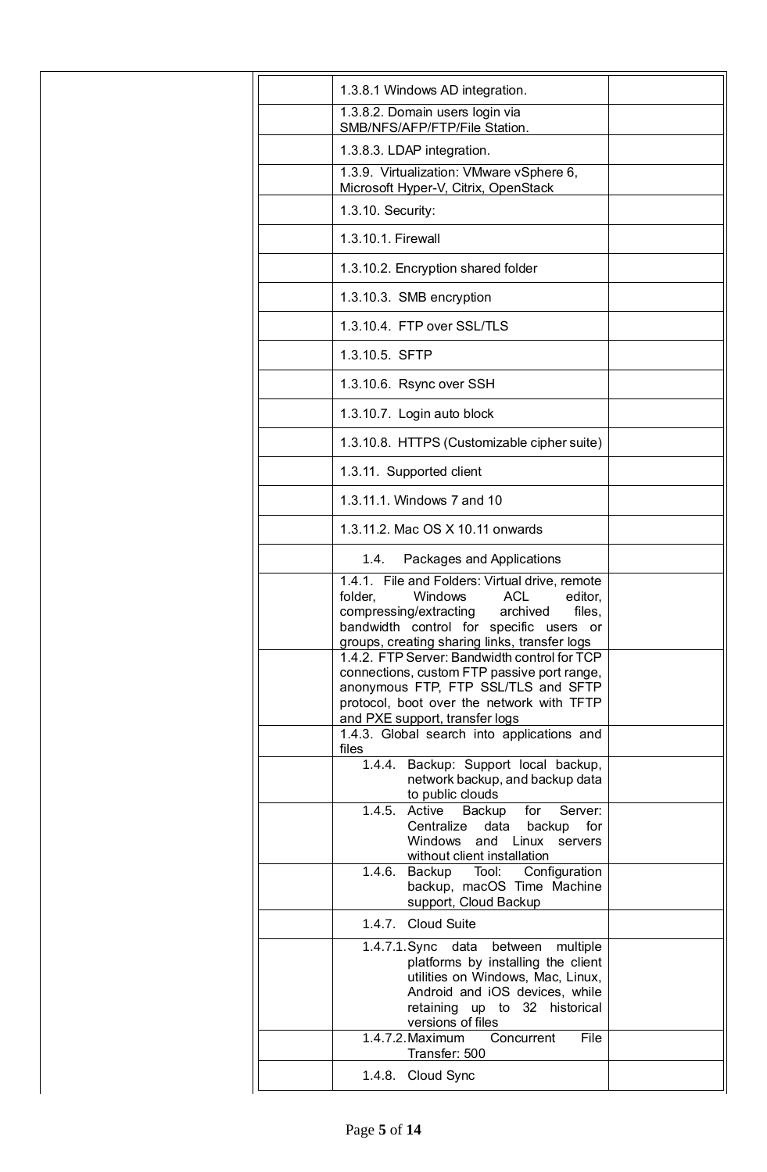| 1.3.8.1 Windows AD integration.                                                                                                                                                                                                           |  |
|-------------------------------------------------------------------------------------------------------------------------------------------------------------------------------------------------------------------------------------------|--|
| 1.3.8.2. Domain users login via<br>SMB/NFS/AFP/FTP/File Station.                                                                                                                                                                          |  |
| 1.3.8.3. LDAP integration.                                                                                                                                                                                                                |  |
| 1.3.9. Virtualization: VMware vSphere 6,<br>Microsoft Hyper-V, Citrix, OpenStack                                                                                                                                                          |  |
| 1.3.10. Security:                                                                                                                                                                                                                         |  |
| 1.3.10.1. Firewall                                                                                                                                                                                                                        |  |
| 1.3.10.2. Encryption shared folder                                                                                                                                                                                                        |  |
| 1.3.10.3. SMB encryption                                                                                                                                                                                                                  |  |
| 1.3.10.4. FTP over SSL/TLS                                                                                                                                                                                                                |  |
| 1.3.10.5. SFTP                                                                                                                                                                                                                            |  |
| 1.3.10.6. Rsync over SSH                                                                                                                                                                                                                  |  |
| 1.3.10.7. Login auto block                                                                                                                                                                                                                |  |
| 1.3.10.8. HTTPS (Customizable cipher suite)                                                                                                                                                                                               |  |
| 1.3.11. Supported client                                                                                                                                                                                                                  |  |
| 1.3.11.1. Windows 7 and 10                                                                                                                                                                                                                |  |
| 1.3.11.2. Mac OS X 10.11 onwards                                                                                                                                                                                                          |  |
| Packages and Applications<br>1.4.                                                                                                                                                                                                         |  |
| 1.4.1. File and Folders: Virtual drive, remote<br>folder,<br><b>ACL</b><br>Windows<br>editor,<br>compressing/extracting<br>archived<br>files,<br>bandwidth control for specific users or<br>groups, creating sharing links, transfer logs |  |
| 1.4.2. FTP Server: Bandwidth control for TCP<br>connections, custom FTP passive port range,<br>anonymous FTP, FTP SSL/TLS and SFTP<br>protocol, boot over the network with TFTP<br>and PXE support, transfer logs                         |  |
| 1.4.3. Global search into applications and<br>files                                                                                                                                                                                       |  |
| 1.4.4. Backup: Support local backup,<br>network backup, and backup data<br>to public clouds                                                                                                                                               |  |
| 1.4.5. Active<br>Backup<br>for<br>Server:<br>Centralize<br>data<br>backup<br>for<br>Windows and Linux servers<br>without client installation                                                                                              |  |
| Configuration<br>1.4.6. Backup<br>Tool:<br>backup, macOS Time Machine<br>support, Cloud Backup                                                                                                                                            |  |
| 1.4.7. Cloud Suite                                                                                                                                                                                                                        |  |
| 1.4.7.1.Sync data<br>between<br>multiple<br>platforms by installing the client<br>utilities on Windows, Mac, Linux,<br>Android and iOS devices, while<br>retaining up to 32 historical<br>versions of files                               |  |
| 1.4.7.2. Maximum<br>Concurrent<br>File<br>Transfer: 500                                                                                                                                                                                   |  |
| 1.4.8. Cloud Sync                                                                                                                                                                                                                         |  |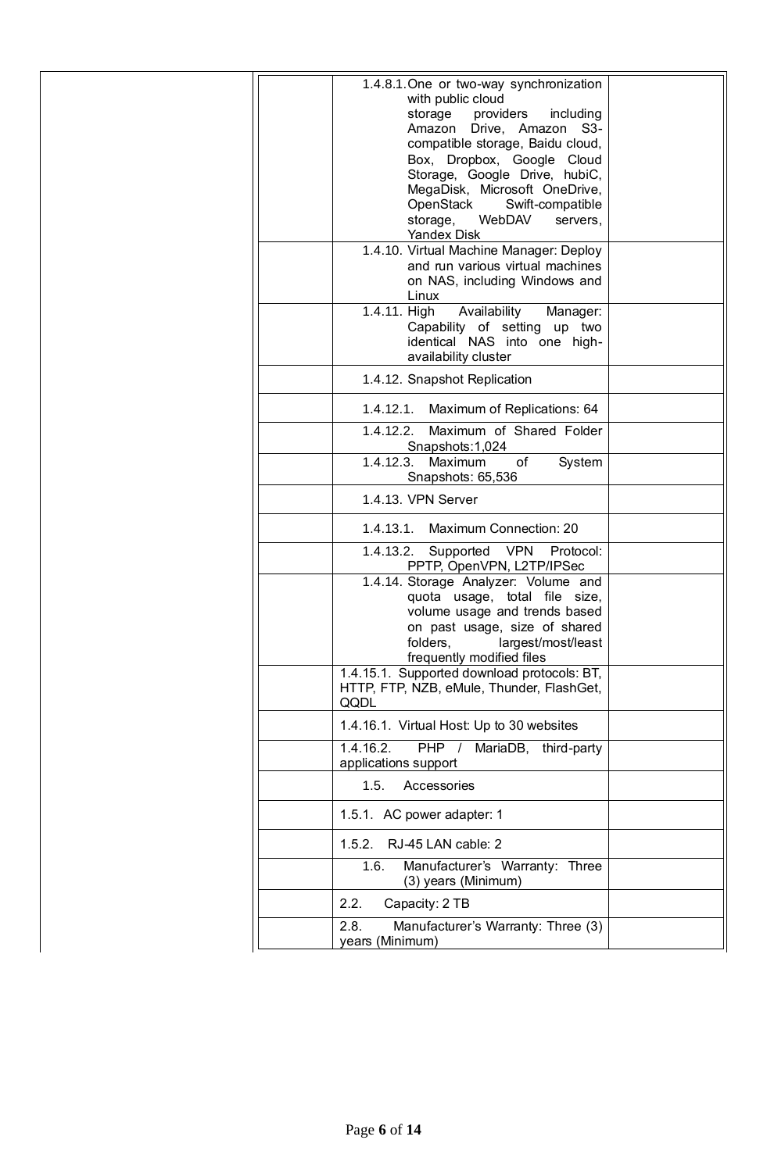| 1.4.8.1. One or two-way synchronization                                           |  |
|-----------------------------------------------------------------------------------|--|
| with public cloud                                                                 |  |
| storage<br>providers<br>including<br>Drive, Amazon S3-<br>Amazon                  |  |
| compatible storage, Baidu cloud,                                                  |  |
| Box, Dropbox, Google Cloud                                                        |  |
| Storage, Google Drive, hubiC,                                                     |  |
| MegaDisk, Microsoft OneDrive,                                                     |  |
| OpenStack<br>Swift-compatible                                                     |  |
| storage,<br>WebDAV<br>servers,                                                    |  |
| <b>Yandex Disk</b>                                                                |  |
| 1.4.10. Virtual Machine Manager: Deploy                                           |  |
| and run various virtual machines                                                  |  |
| on NAS, including Windows and                                                     |  |
| Linux                                                                             |  |
| 1.4.11. High<br>Availability<br>Manager:<br>Capability of setting up two          |  |
| identical NAS into one high-                                                      |  |
| availability cluster                                                              |  |
| 1.4.12. Snapshot Replication                                                      |  |
|                                                                                   |  |
| Maximum of Replications: 64<br>1.4.12.1.<br>Maximum of Shared Folder<br>1.4.12.2. |  |
| Snapshots: 1,024                                                                  |  |
| 1.4.12.3.<br>Maximum<br>of<br>System                                              |  |
| Snapshots: 65,536                                                                 |  |
| 1.4.13. VPN Server                                                                |  |
| <b>Maximum Connection: 20</b><br>1.4.13.1.                                        |  |
| 1.4.13.2.<br>Supported VPN<br>Protocol:<br>PPTP, OpenVPN, L2TP/IPSec              |  |
| 1.4.14. Storage Analyzer: Volume and                                              |  |
| quota usage, total file size,                                                     |  |
| volume usage and trends based                                                     |  |
| on past usage, size of shared                                                     |  |
| folders,<br>largest/most/least<br>frequently modified files                       |  |
| 1.4.15.1. Supported download protocols: BT,                                       |  |
| HTTP, FTP, NZB, eMule, Thunder, FlashGet,                                         |  |
| QQDL                                                                              |  |
| 1.4.16.1. Virtual Host: Up to 30 websites                                         |  |
| 1.4.16.2.<br><b>PHP</b><br>MariaDB, third-party<br>$\prime$                       |  |
| applications support                                                              |  |
| 1.5.<br>Accessories                                                               |  |
| 1.5.1. AC power adapter: 1                                                        |  |
| RJ-45 LAN cable: 2<br>1.5.2.                                                      |  |
| Manufacturer's Warranty: Three<br>1.6.<br>(3) years (Minimum)                     |  |
| 2.2.<br>Capacity: 2 TB                                                            |  |
| Manufacturer's Warranty: Three (3)<br>2.8.                                        |  |
| years (Minimum)                                                                   |  |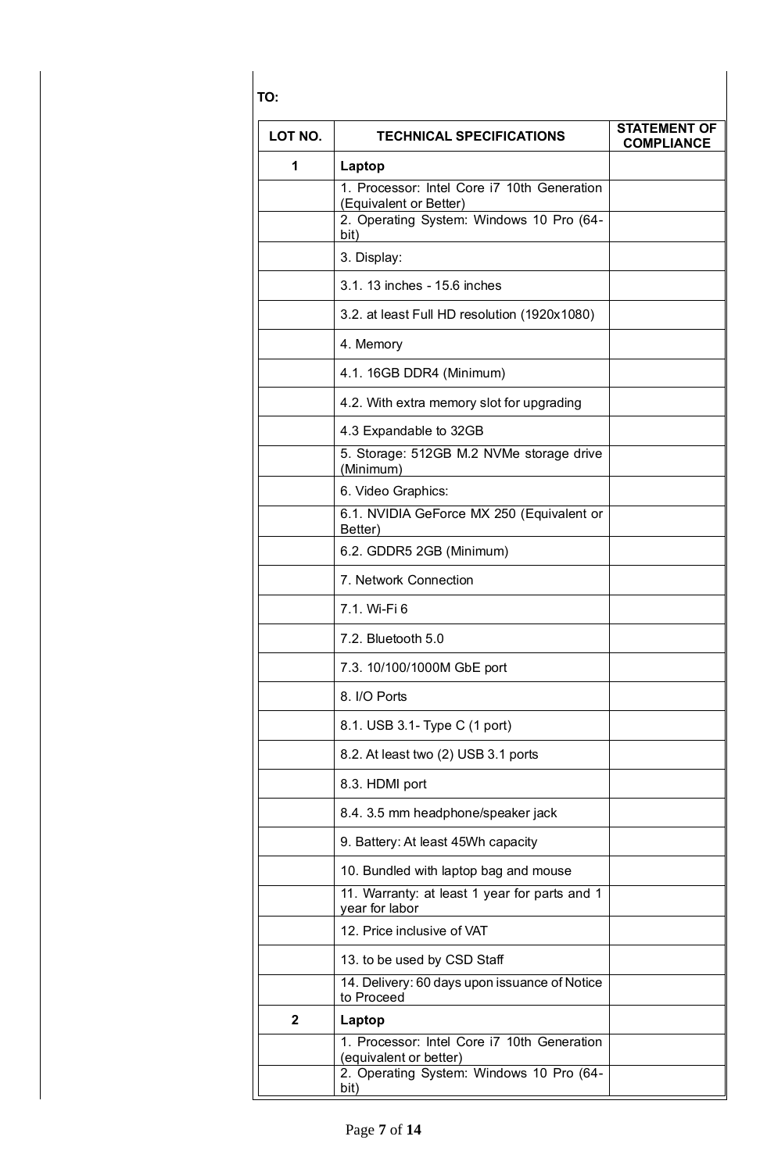**TO:**

| LOT NO.      | <b>TECHNICAL SPECIFICATIONS</b>                                       | <b>STATEMENT OF</b><br><b>COMPLIANCE</b> |
|--------------|-----------------------------------------------------------------------|------------------------------------------|
| 1            | Laptop                                                                |                                          |
|              | 1. Processor: Intel Core i7 10th Generation<br>(Equivalent or Better) |                                          |
|              | 2. Operating System: Windows 10 Pro (64-<br>bit)                      |                                          |
|              | 3. Display:                                                           |                                          |
|              | 3.1. 13 inches - 15.6 inches                                          |                                          |
|              | 3.2. at least Full HD resolution (1920x1080)                          |                                          |
|              | 4. Memory                                                             |                                          |
|              | 4.1. 16GB DDR4 (Minimum)                                              |                                          |
|              | 4.2. With extra memory slot for upgrading                             |                                          |
|              | 4.3 Expandable to 32GB                                                |                                          |
|              | 5. Storage: 512GB M.2 NVMe storage drive<br>(Minimum)                 |                                          |
|              | 6. Video Graphics:                                                    |                                          |
|              | 6.1. NVIDIA GeForce MX 250 (Equivalent or<br>Better)                  |                                          |
|              | 6.2. GDDR5 2GB (Minimum)                                              |                                          |
|              | 7. Network Connection                                                 |                                          |
|              | 7.1. Wi-Fi 6                                                          |                                          |
|              | 7.2. Bluetooth 5.0                                                    |                                          |
|              | 7.3. 10/100/1000M GbE port                                            |                                          |
|              | 8. I/O Ports                                                          |                                          |
|              | 8.1. USB 3.1- Type C (1 port)                                         |                                          |
|              | 8.2. At least two (2) USB 3.1 ports                                   |                                          |
|              | 8.3. HDMI port                                                        |                                          |
|              | 8.4. 3.5 mm headphone/speaker jack                                    |                                          |
|              | 9. Battery: At least 45Wh capacity                                    |                                          |
|              | 10. Bundled with laptop bag and mouse                                 |                                          |
|              | 11. Warranty: at least 1 year for parts and 1<br>year for labor       |                                          |
|              | 12. Price inclusive of VAT                                            |                                          |
|              | 13. to be used by CSD Staff                                           |                                          |
|              | 14. Delivery: 60 days upon issuance of Notice<br>to Proceed           |                                          |
| $\mathbf{2}$ | Laptop                                                                |                                          |
|              | 1. Processor: Intel Core i7 10th Generation<br>(equivalent or better) |                                          |
|              | 2. Operating System: Windows 10 Pro (64-<br>bit)                      |                                          |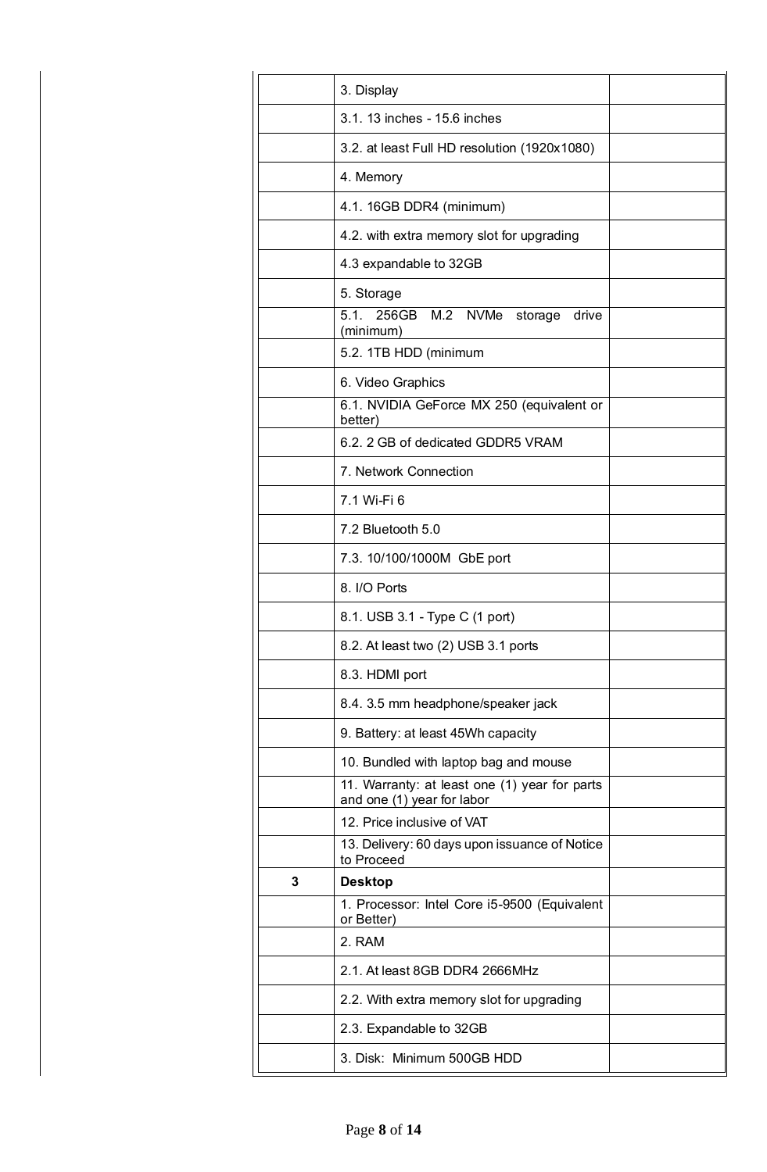| 3. Display                                                                  |  |
|-----------------------------------------------------------------------------|--|
| 3.1. 13 inches - 15.6 inches                                                |  |
| 3.2. at least Full HD resolution (1920x1080)                                |  |
| 4. Memory                                                                   |  |
| 4.1. 16GB DDR4 (minimum)                                                    |  |
| 4.2. with extra memory slot for upgrading                                   |  |
| 4.3 expandable to 32GB                                                      |  |
| 5. Storage                                                                  |  |
| 5.1. 256GB M.2 NVMe storage<br>drive<br>(minimum)                           |  |
| 5.2. 1TB HDD (minimum                                                       |  |
| 6. Video Graphics                                                           |  |
| 6.1. NVIDIA GeForce MX 250 (equivalent or<br>better)                        |  |
| 6.2. 2 GB of dedicated GDDR5 VRAM                                           |  |
| 7. Network Connection                                                       |  |
| 7.1 Wi-Fi 6                                                                 |  |
| 7.2 Bluetooth 5.0                                                           |  |
| 7.3. 10/100/1000M GbE port                                                  |  |
| 8. I/O Ports                                                                |  |
| 8.1. USB 3.1 - Type C (1 port)                                              |  |
| 8.2. At least two (2) USB 3.1 ports                                         |  |
| 8.3. HDMI port                                                              |  |
| 8.4. 3.5 mm headphone/speaker jack                                          |  |
| 9. Battery: at least 45Wh capacity                                          |  |
| 10. Bundled with laptop bag and mouse                                       |  |
| 11. Warranty: at least one (1) year for parts<br>and one (1) year for labor |  |
| 12. Price inclusive of VAT                                                  |  |
| 13. Delivery: 60 days upon issuance of Notice<br>to Proceed                 |  |
| <b>Desktop</b><br>3                                                         |  |
| 1. Processor: Intel Core i5-9500 (Equivalent<br>or Better)                  |  |
| 2. RAM                                                                      |  |
| 2.1. At least 8GB DDR4 2666MHz                                              |  |
| 2.2. With extra memory slot for upgrading                                   |  |
| 2.3. Expandable to 32GB                                                     |  |
| 3. Disk: Minimum 500GB HDD                                                  |  |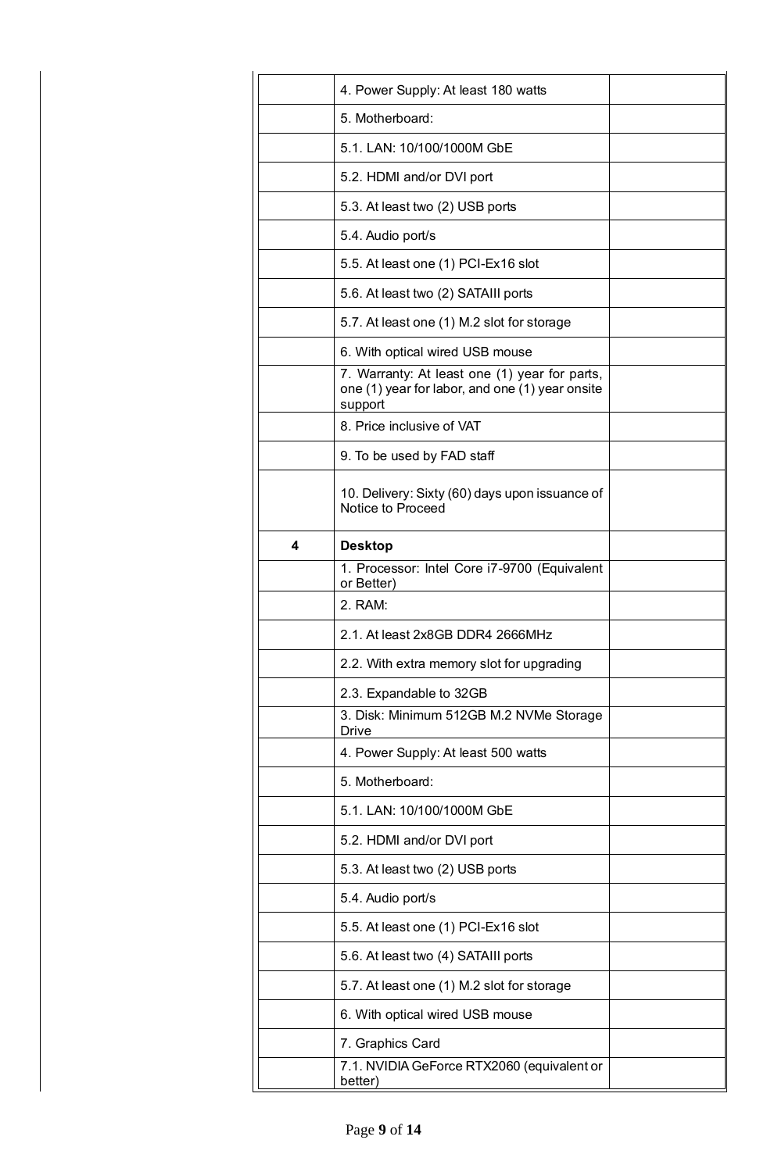|   | 4. Power Supply: At least 180 watts                                                                         |  |
|---|-------------------------------------------------------------------------------------------------------------|--|
|   | 5. Motherboard:                                                                                             |  |
|   | 5.1. LAN: 10/100/1000M GbE                                                                                  |  |
|   | 5.2. HDMI and/or DVI port                                                                                   |  |
|   | 5.3. At least two (2) USB ports                                                                             |  |
|   | 5.4. Audio port/s                                                                                           |  |
|   | 5.5. At least one (1) PCI-Ex16 slot                                                                         |  |
|   | 5.6. At least two (2) SATAIII ports                                                                         |  |
|   | 5.7. At least one (1) M.2 slot for storage                                                                  |  |
|   | 6. With optical wired USB mouse                                                                             |  |
|   | 7. Warranty: At least one (1) year for parts,<br>one (1) year for labor, and one (1) year onsite<br>support |  |
|   | 8. Price inclusive of VAT                                                                                   |  |
|   | 9. To be used by FAD staff                                                                                  |  |
|   | 10. Delivery: Sixty (60) days upon issuance of<br>Notice to Proceed                                         |  |
| 4 | <b>Desktop</b>                                                                                              |  |
|   | 1. Processor: Intel Core i7-9700 (Equivalent<br>or Better)                                                  |  |
|   | 2. RAM:                                                                                                     |  |
|   | 2.1. At least 2x8GB DDR4 2666MHz                                                                            |  |
|   | 2.2. With extra memory slot for upgrading                                                                   |  |
|   | 2.3. Expandable to 32GB                                                                                     |  |
|   | 3. Disk: Minimum 512GB M.2 NVMe Storage<br>Drive                                                            |  |
|   | 4. Power Supply: At least 500 watts                                                                         |  |
|   | 5. Motherboard:                                                                                             |  |
|   | 5.1. LAN: 10/100/1000M GbE                                                                                  |  |
|   |                                                                                                             |  |
|   | 5.2. HDMI and/or DVI port                                                                                   |  |
|   | 5.3. At least two (2) USB ports                                                                             |  |
|   | 5.4. Audio port/s                                                                                           |  |
|   | 5.5. At least one (1) PCI-Ex16 slot                                                                         |  |
|   | 5.6. At least two (4) SATAIII ports                                                                         |  |
|   | 5.7. At least one (1) M.2 slot for storage                                                                  |  |
|   | 6. With optical wired USB mouse                                                                             |  |
|   | 7. Graphics Card                                                                                            |  |

í.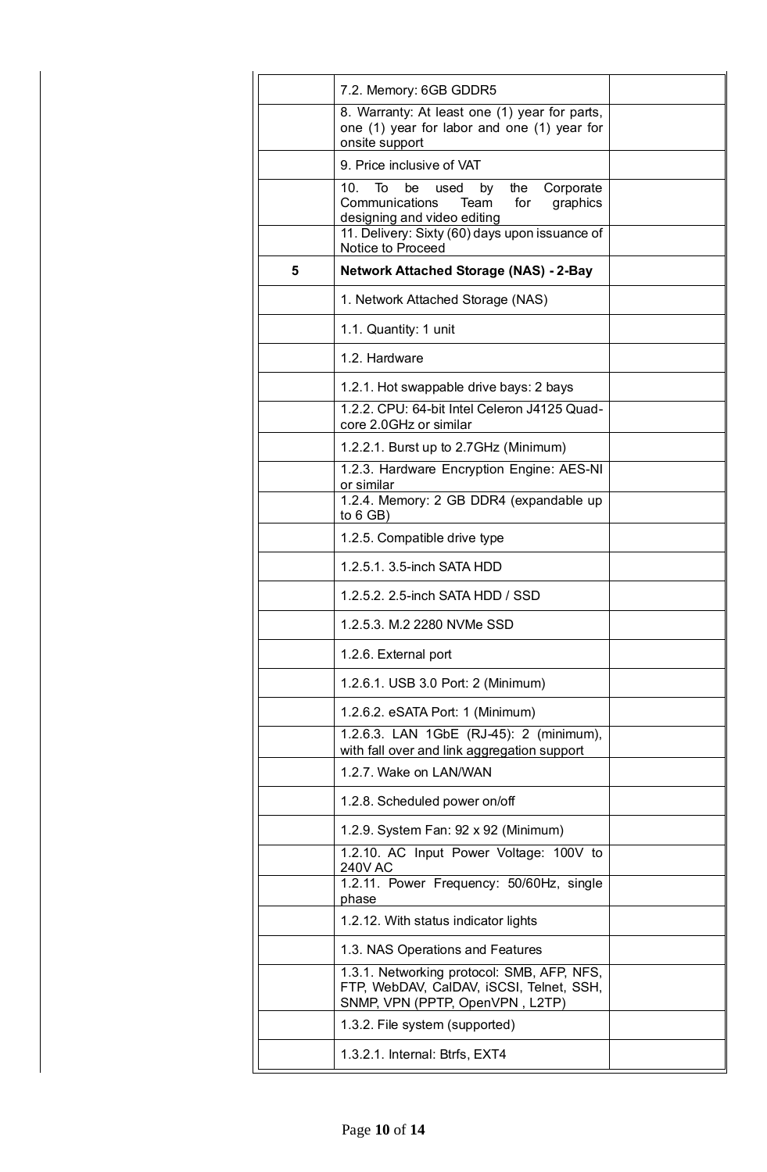|   | 7.2. Memory: 6GB GDDR5                                                                                                                                                                         |  |
|---|------------------------------------------------------------------------------------------------------------------------------------------------------------------------------------------------|--|
|   | 8. Warranty: At least one (1) year for parts,<br>one (1) year for labor and one (1) year for<br>onsite support                                                                                 |  |
|   | 9. Price inclusive of VAT                                                                                                                                                                      |  |
|   | To be<br>by the<br>Corporate<br>10.<br>used<br>Communications<br>for<br>Team<br>graphics<br>designing and video editing<br>11. Delivery: Sixty (60) days upon issuance of<br>Notice to Proceed |  |
| 5 | <b>Network Attached Storage (NAS) - 2-Bay</b>                                                                                                                                                  |  |
|   | 1. Network Attached Storage (NAS)                                                                                                                                                              |  |
|   | 1.1. Quantity: 1 unit                                                                                                                                                                          |  |
|   | 1.2. Hardware                                                                                                                                                                                  |  |
|   | 1.2.1. Hot swappable drive bays: 2 bays                                                                                                                                                        |  |
|   | 1.2.2. CPU: 64-bit Intel Celeron J4125 Quad-<br>core 2.0GHz or similar                                                                                                                         |  |
|   | 1.2.2.1. Burst up to 2.7GHz (Minimum)                                                                                                                                                          |  |
|   | 1.2.3. Hardware Encryption Engine: AES-NI<br>or similar                                                                                                                                        |  |
|   | 1.2.4. Memory: 2 GB DDR4 (expandable up<br>to $6$ GB)                                                                                                                                          |  |
|   | 1.2.5. Compatible drive type                                                                                                                                                                   |  |
|   | 1.2.5.1. 3.5-inch SATA HDD                                                                                                                                                                     |  |
|   | 1.2.5.2. 2.5-inch SATA HDD / SSD                                                                                                                                                               |  |
|   | 1.2.5.3. M.2 2280 NVMe SSD                                                                                                                                                                     |  |
|   | 1.2.6. External port                                                                                                                                                                           |  |
|   | 1.2.6.1. USB 3.0 Port: 2 (Minimum)                                                                                                                                                             |  |
|   | 1.2.6.2. eSATA Port: 1 (Minimum)                                                                                                                                                               |  |
|   | 1.2.6.3. LAN 1GbE (RJ-45): 2 (minimum),<br>with fall over and link aggregation support                                                                                                         |  |
|   | 1.2.7. Wake on LAN/WAN                                                                                                                                                                         |  |
|   | 1.2.8. Scheduled power on/off                                                                                                                                                                  |  |
|   | 1.2.9. System Fan: 92 x 92 (Minimum)                                                                                                                                                           |  |
|   | 1.2.10. AC Input Power Voltage: 100V to<br><b>240V AC</b>                                                                                                                                      |  |
|   | 1.2.11. Power Frequency: 50/60Hz, single<br>phase                                                                                                                                              |  |
|   | 1.2.12. With status indicator lights                                                                                                                                                           |  |
|   | 1.3. NAS Operations and Features                                                                                                                                                               |  |
|   | 1.3.1. Networking protocol: SMB, AFP, NFS,<br>FTP, WebDAV, CalDAV, iSCSI, Telnet, SSH,<br>SNMP, VPN (PPTP, OpenVPN, L2TP)                                                                      |  |
|   | 1.3.2. File system (supported)                                                                                                                                                                 |  |
|   | 1.3.2.1. Internal: Btrfs, EXT4                                                                                                                                                                 |  |
|   |                                                                                                                                                                                                |  |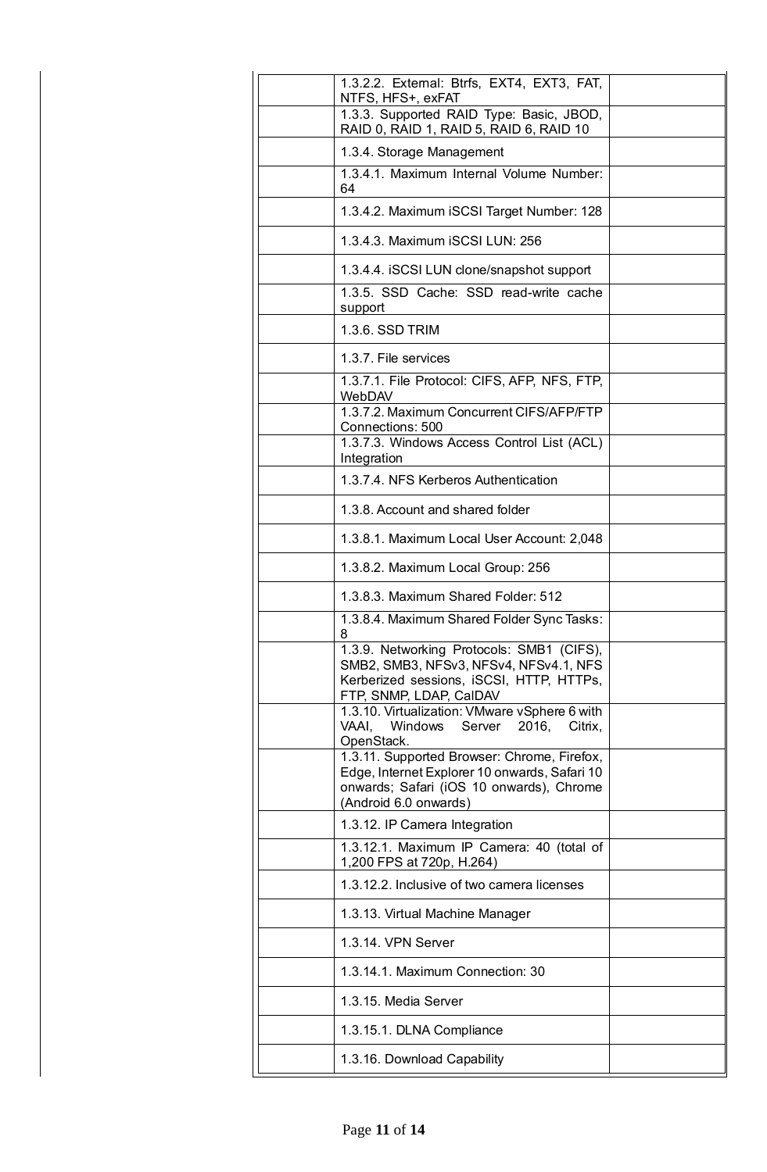| 1.3.2.2. External: Btrfs, EXT4, EXT3, FAT,<br>NTFS, HFS+, exFAT                                                                                                   |  |
|-------------------------------------------------------------------------------------------------------------------------------------------------------------------|--|
| 1.3.3. Supported RAID Type: Basic, JBOD,<br>RAID 0, RAID 1, RAID 5, RAID 6, RAID 10                                                                               |  |
| 1.3.4. Storage Management                                                                                                                                         |  |
| 1.3.4.1. Maximum Internal Volume Number:<br>64                                                                                                                    |  |
| 1.3.4.2. Maximum iSCSI Target Number: 128                                                                                                                         |  |
| 1.3.4.3. Maximum iSCSI LUN: 256                                                                                                                                   |  |
| 1.3.4.4. ISCSI LUN clone/snapshot support                                                                                                                         |  |
| 1.3.5. SSD Cache: SSD read-write cache<br>support                                                                                                                 |  |
| 1.3.6. SSD TRIM                                                                                                                                                   |  |
| 1.3.7. File services                                                                                                                                              |  |
| 1.3.7.1. File Protocol: CIFS, AFP, NFS, FTP,<br>WebDAV                                                                                                            |  |
| 1.3.7.2. Maximum Concurrent CIFS/AFP/FTP<br>Connections: 500                                                                                                      |  |
| 1.3.7.3. Windows Access Control List (ACL)<br>Integration                                                                                                         |  |
| 1.3.7.4. NFS Kerberos Authentication                                                                                                                              |  |
| 1.3.8. Account and shared folder                                                                                                                                  |  |
| 1.3.8.1. Maximum Local User Account: 2,048                                                                                                                        |  |
| 1.3.8.2. Maximum Local Group: 256                                                                                                                                 |  |
| 1.3.8.3. Maximum Shared Folder: 512                                                                                                                               |  |
| 1.3.8.4. Maximum Shared Folder Sync Tasks:<br>8                                                                                                                   |  |
| 1.3.9. Networking Protocols: SMB1 (CIFS),<br>SMB2, SMB3, NFSv3, NFSv4, NFSv4.1, NFS<br>Kerberized sessions, iSCSI, HTTP, HTTPs,<br>FTP, SNMP, LDAP, CalDAV        |  |
| 1.3.10. Virtualization: VMware vSphere 6 with<br>Windows<br>VAAI.<br>Server 2016,<br>Citrix,<br>OpenStack.                                                        |  |
| 1.3.11. Supported Browser: Chrome, Firefox,<br>Edge, Internet Explorer 10 onwards, Safari 10<br>onwards; Safari (iOS 10 onwards), Chrome<br>(Android 6.0 onwards) |  |
| 1.3.12. IP Camera Integration                                                                                                                                     |  |
| 1.3.12.1. Maximum IP Camera: 40 (total of<br>1,200 FPS at 720p, H.264)                                                                                            |  |
| 1.3.12.2. Inclusive of two camera licenses                                                                                                                        |  |
| 1.3.13. Virtual Machine Manager                                                                                                                                   |  |
| 1.3.14. VPN Server                                                                                                                                                |  |
| 1.3.14.1. Maximum Connection: 30                                                                                                                                  |  |
| 1.3.15. Media Server                                                                                                                                              |  |
| 1.3.15.1. DLNA Compliance                                                                                                                                         |  |
| 1.3.16. Download Capability                                                                                                                                       |  |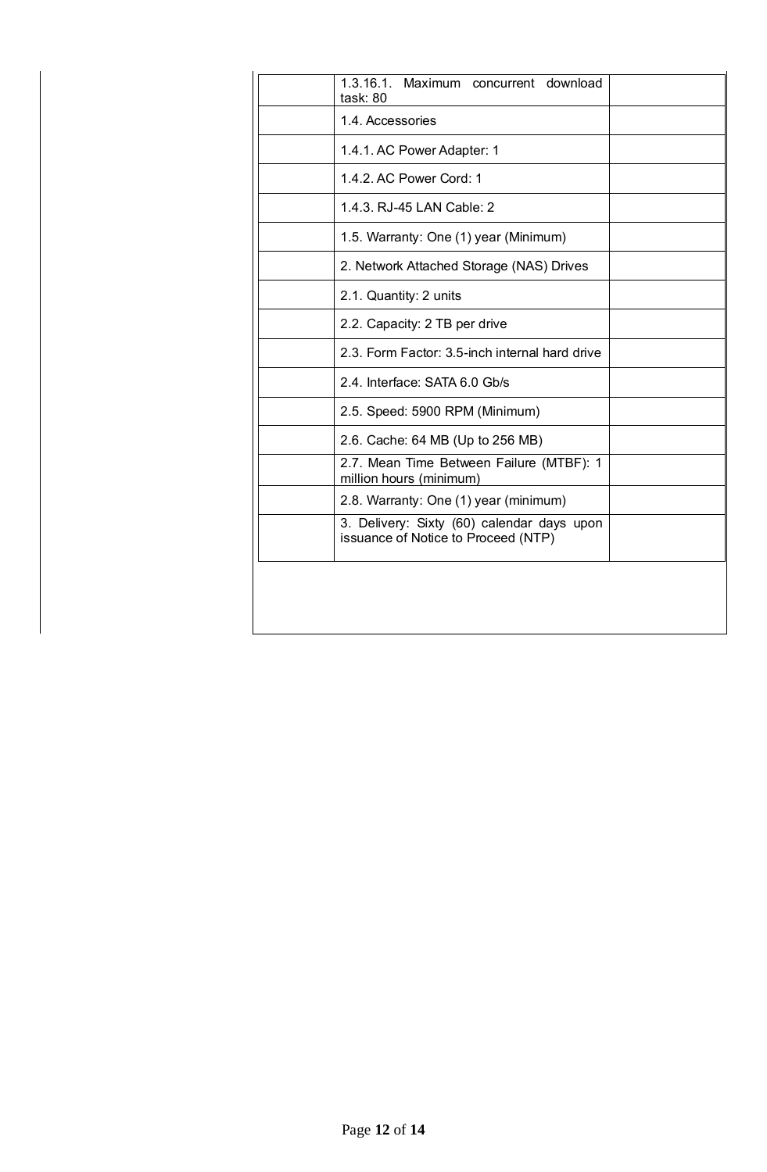| 1.3.16.1. Maximum concurrent download<br>task: 80                                 |  |
|-----------------------------------------------------------------------------------|--|
| 1.4. Accessories                                                                  |  |
| 1.4.1. AC Power Adapter: 1                                                        |  |
| 1.4.2. AC Power Cord: 1                                                           |  |
| 1.4.3. RJ-45 LAN Cable: 2                                                         |  |
| 1.5. Warranty: One (1) year (Minimum)                                             |  |
| 2. Network Attached Storage (NAS) Drives                                          |  |
| 2.1. Quantity: 2 units                                                            |  |
| 2.2. Capacity: 2 TB per drive                                                     |  |
| 2.3. Form Factor: 3.5-inch internal hard drive                                    |  |
| 2.4. Interface: SATA 6.0 Gb/s                                                     |  |
| 2.5. Speed: 5900 RPM (Minimum)                                                    |  |
| 2.6. Cache: 64 MB (Up to 256 MB)                                                  |  |
| 2.7. Mean Time Between Failure (MTBF): 1<br>million hours (minimum)               |  |
| 2.8. Warranty: One (1) year (minimum)                                             |  |
| 3. Delivery: Sixty (60) calendar days upon<br>issuance of Notice to Proceed (NTP) |  |
|                                                                                   |  |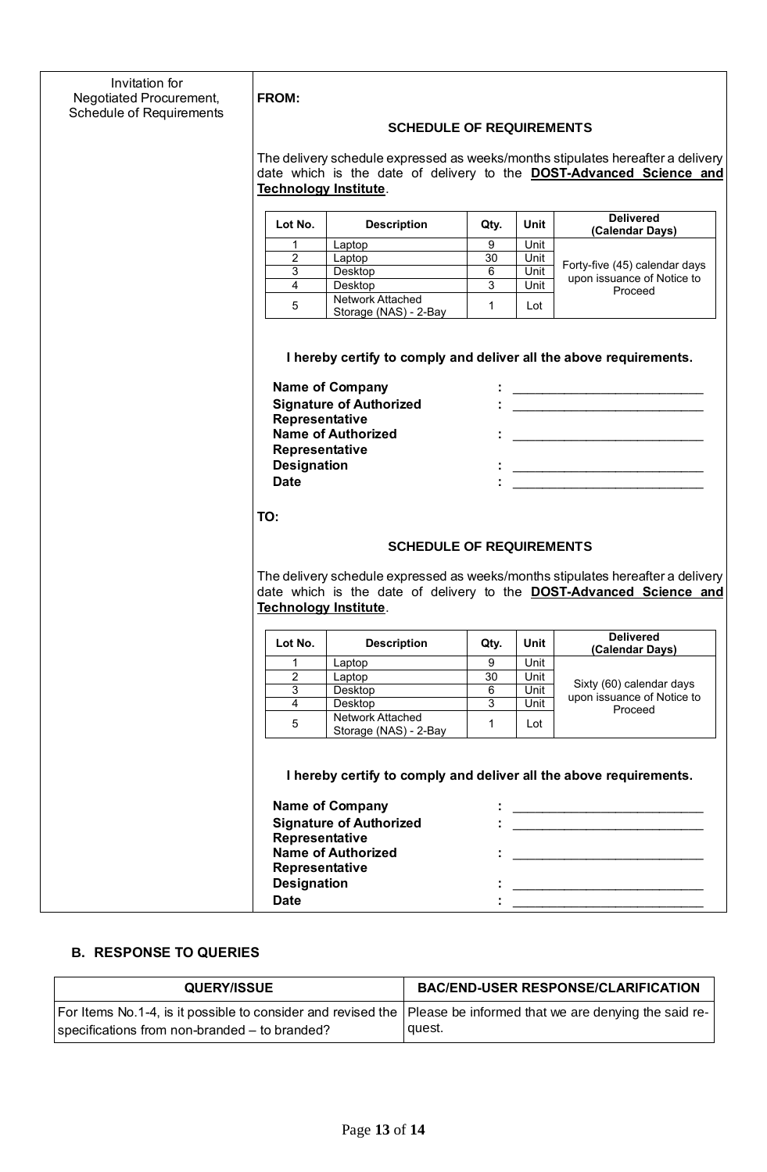| Invitation for           |                                                                                                                                                               |                                           |                |              |                                                                    |  |
|--------------------------|---------------------------------------------------------------------------------------------------------------------------------------------------------------|-------------------------------------------|----------------|--------------|--------------------------------------------------------------------|--|
| Negotiated Procurement,  | <b>FROM:</b>                                                                                                                                                  |                                           |                |              |                                                                    |  |
| Schedule of Requirements | <b>SCHEDULE OF REQUIREMENTS</b>                                                                                                                               |                                           |                |              |                                                                    |  |
|                          | The delivery schedule expressed as weeks/months stipulates hereafter a delivery<br>date which is the date of delivery to the <b>DOST-Advanced Science and</b> |                                           |                |              |                                                                    |  |
|                          |                                                                                                                                                               |                                           |                |              |                                                                    |  |
|                          |                                                                                                                                                               | <b>Technology Institute.</b>              |                |              |                                                                    |  |
|                          | Lot No.                                                                                                                                                       | <b>Description</b>                        | Qty.           | Unit         | <b>Delivered</b><br>(Calendar Days)                                |  |
|                          | $\mathbf 1$<br>2                                                                                                                                              | Laptop<br>Laptop                          | 9<br>30        | Unit<br>Unit |                                                                    |  |
|                          | 3                                                                                                                                                             | Desktop                                   | $\overline{6}$ | Unit         | Forty-five (45) calendar days                                      |  |
|                          | $\overline{4}$                                                                                                                                                | Desktop                                   | 3              | Unit         | upon issuance of Notice to<br>Proceed                              |  |
|                          | 5                                                                                                                                                             | Network Attached<br>Storage (NAS) - 2-Bay | $\mathbf{1}$   | Lot          |                                                                    |  |
|                          |                                                                                                                                                               |                                           |                |              |                                                                    |  |
|                          |                                                                                                                                                               |                                           |                |              | I hereby certify to comply and deliver all the above requirements. |  |
|                          |                                                                                                                                                               | <b>Name of Company</b>                    |                |              |                                                                    |  |
|                          |                                                                                                                                                               | <b>Signature of Authorized</b>            |                |              |                                                                    |  |
|                          | Representative                                                                                                                                                | <b>Name of Authorized</b>                 |                |              |                                                                    |  |
|                          | Representative                                                                                                                                                |                                           |                |              |                                                                    |  |
|                          | <b>Designation</b>                                                                                                                                            |                                           |                |              |                                                                    |  |
|                          | <b>Date</b>                                                                                                                                                   |                                           |                |              | <u> 1980 - Jan Barat, manazarta a</u>                              |  |
|                          | TO:                                                                                                                                                           |                                           |                |              |                                                                    |  |
|                          |                                                                                                                                                               |                                           |                |              |                                                                    |  |
|                          | <b>SCHEDULE OF REQUIREMENTS</b>                                                                                                                               |                                           |                |              |                                                                    |  |
|                          | The delivery schedule expressed as weeks/months stipulates hereafter a delivery                                                                               |                                           |                |              |                                                                    |  |
|                          | date which is the date of delivery to the <b>DOST-Advanced Science and</b><br><b>Technology Institute.</b>                                                    |                                           |                |              |                                                                    |  |
|                          |                                                                                                                                                               |                                           |                |              |                                                                    |  |
|                          | Lot No.                                                                                                                                                       | <b>Description</b>                        | Qty.           | Unit         | <b>Delivered</b><br>(Calendar Days)                                |  |
|                          | 1<br>$\overline{a}$                                                                                                                                           | Laptop<br>Laptop                          | 9<br>30        | Unit<br>Unit |                                                                    |  |
|                          | 3                                                                                                                                                             | Desktop                                   | 6              | Unit         | Sixty (60) calendar days                                           |  |
|                          | 4                                                                                                                                                             | Desktop                                   | 3              | Unit         | upon issuance of Notice to<br>Proceed                              |  |
|                          | 5                                                                                                                                                             | Network Attached<br>Storage (NAS) - 2-Bay | $\mathbf{1}$   | Lot          |                                                                    |  |
|                          |                                                                                                                                                               |                                           |                |              |                                                                    |  |
|                          |                                                                                                                                                               |                                           |                |              | I hereby certify to comply and deliver all the above requirements. |  |
|                          |                                                                                                                                                               | <b>Name of Company</b>                    |                |              |                                                                    |  |
|                          |                                                                                                                                                               | <b>Signature of Authorized</b>            |                |              | <u> 1980 - Jan Barbarat, martin a</u>                              |  |
|                          | Representative                                                                                                                                                | <b>Name of Authorized</b>                 |                |              |                                                                    |  |
|                          | Representative                                                                                                                                                |                                           |                |              |                                                                    |  |
|                          | <b>Designation</b>                                                                                                                                            |                                           |                |              |                                                                    |  |
|                          | <b>Date</b>                                                                                                                                                   |                                           |                |              |                                                                    |  |

## **B. RESPONSE TO QUERIES**

| <b>QUERY/ISSUE</b>                                                                                                                                                  | <b>BAC/END-USER RESPONSE/CLARIFICATION</b> |
|---------------------------------------------------------------------------------------------------------------------------------------------------------------------|--------------------------------------------|
| For Items No.1-4, is it possible to consider and revised the   Please be informed that we are denying the said re-<br>specifications from non-branded – to branded? | quest.                                     |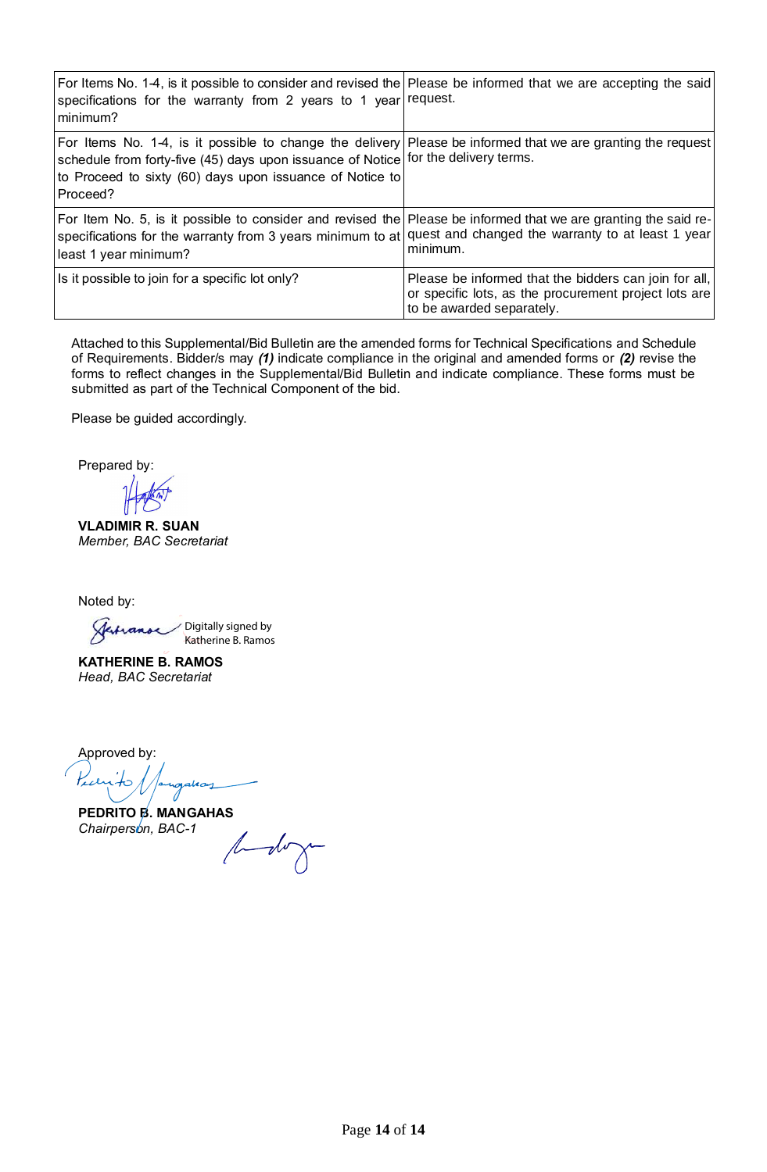| For Items No. 1-4, is it possible to consider and revised the Please be informed that we are accepting the said<br>specifications for the warranty from 2 years to 1 year request.<br>minimum?                                                                             |                                                                                                                                             |
|----------------------------------------------------------------------------------------------------------------------------------------------------------------------------------------------------------------------------------------------------------------------------|---------------------------------------------------------------------------------------------------------------------------------------------|
| For Items No. 1-4, is it possible to change the delivery Please be informed that we are granting the request<br>schedule from forty-five (45) days upon issuance of Notice for the delivery terms.<br>to Proceed to sixty (60) days upon issuance of Notice to<br>Proceed? |                                                                                                                                             |
| For Item No. 5, is it possible to consider and revised the Please be informed that we are granting the said re-<br>specifications for the warranty from 3 years minimum to at quest and changed the warranty to at least 1 year<br>least 1 year minimum?                   | minimum.                                                                                                                                    |
| Is it possible to join for a specific lot only?                                                                                                                                                                                                                            | Please be informed that the bidders can join for all,<br>or specific lots, as the procurement project lots are<br>to be awarded separately. |

Attached to this Supplemental/Bid Bulletin are the amended forms for Technical Specifications and Schedule of Requirements. Bidder/s may *(1)* indicate compliance in the original and amended forms or *(2)* revise the forms to reflect changes in the Supplemental/Bid Bulletin and indicate compliance. These forms must be submitted as part of the Technical Component of the bid.

Please be guided accordingly.

Prepared by:

**VLADIMIR R. SUAN** *Member, BAC Secretariat*

Noted by:

Digitally signed by Katherine B. Ramos

alaan

**KATHERINE B. RAMOS** *Head, BAC Secretariat*

Approved by: Karito

**PEDRITO B. MANGAHAS** *Chairperson, BAC-1*

budoga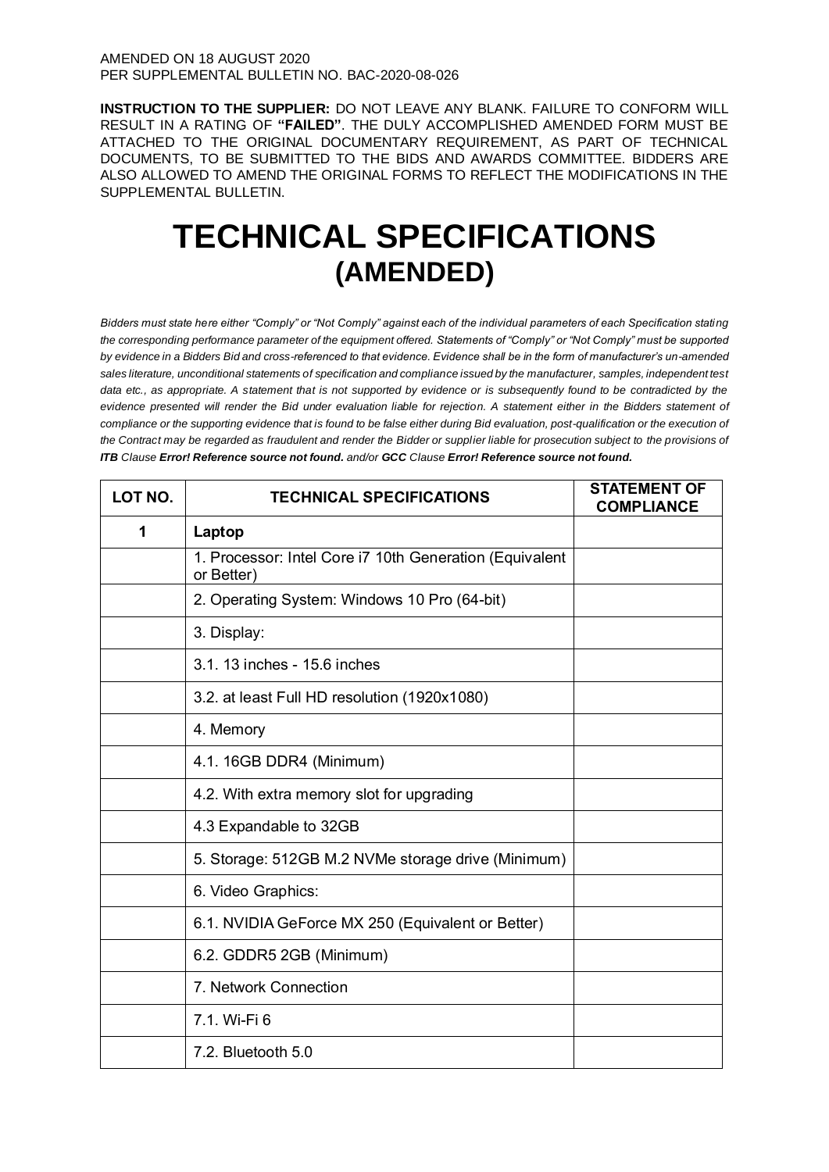**INSTRUCTION TO THE SUPPLIER:** DO NOT LEAVE ANY BLANK. FAILURE TO CONFORM WILL RESULT IN A RATING OF **"FAILED"**. THE DULY ACCOMPLISHED AMENDED FORM MUST BE ATTACHED TO THE ORIGINAL DOCUMENTARY REQUIREMENT, AS PART OF TECHNICAL DOCUMENTS, TO BE SUBMITTED TO THE BIDS AND AWARDS COMMITTEE. BIDDERS ARE ALSO ALLOWED TO AMEND THE ORIGINAL FORMS TO REFLECT THE MODIFICATIONS IN THE SUPPLEMENTAL BULLETIN.

# **TECHNICAL SPECIFICATIONS (AMENDED)**

*Bidders must state here either "Comply" or "Not Comply" against each of the individual parameters of each Specification stating the corresponding performance parameter of the equipment offered. Statements of "Comply" or "Not Comply" must be supported by evidence in a Bidders Bid and cross-referenced to that evidence. Evidence shall be in the form of manufacturer's un-amended sales literature, unconditional statements of specification and compliance issued by the manufacturer, samples, independent test*  data etc., as appropriate. A statement that is not supported by evidence or is subsequently found to be contradicted by the *evidence presented will render the Bid under evaluation liable for rejection. A statement either in the Bidders statement of compliance or the supporting evidence that is found to be false either during Bid evaluation, post-qualification or the execution of the Contract may be regarded as fraudulent and render the Bidder or supplier liable for prosecution subject to the provisions of ITB Clause Error! Reference source not found. and/or GCC Clause Error! Reference source not found.*

| LOT NO. | <b>TECHNICAL SPECIFICATIONS</b>                                       | <b>STATEMENT OF</b><br><b>COMPLIANCE</b> |
|---------|-----------------------------------------------------------------------|------------------------------------------|
| 1       | Laptop                                                                |                                          |
|         | 1. Processor: Intel Core i7 10th Generation (Equivalent<br>or Better) |                                          |
|         | 2. Operating System: Windows 10 Pro (64-bit)                          |                                          |
|         | 3. Display:                                                           |                                          |
|         | 3.1. 13 inches - 15.6 inches                                          |                                          |
|         | 3.2. at least Full HD resolution (1920x1080)                          |                                          |
|         | 4. Memory                                                             |                                          |
|         | 4.1. 16GB DDR4 (Minimum)                                              |                                          |
|         | 4.2. With extra memory slot for upgrading                             |                                          |
|         | 4.3 Expandable to 32GB                                                |                                          |
|         | 5. Storage: 512GB M.2 NVMe storage drive (Minimum)                    |                                          |
|         | 6. Video Graphics:                                                    |                                          |
|         | 6.1. NVIDIA GeForce MX 250 (Equivalent or Better)                     |                                          |
|         | 6.2. GDDR5 2GB (Minimum)                                              |                                          |
|         | 7. Network Connection                                                 |                                          |
|         | 7.1. Wi-Fi 6                                                          |                                          |
|         | 7.2. Bluetooth 5.0                                                    |                                          |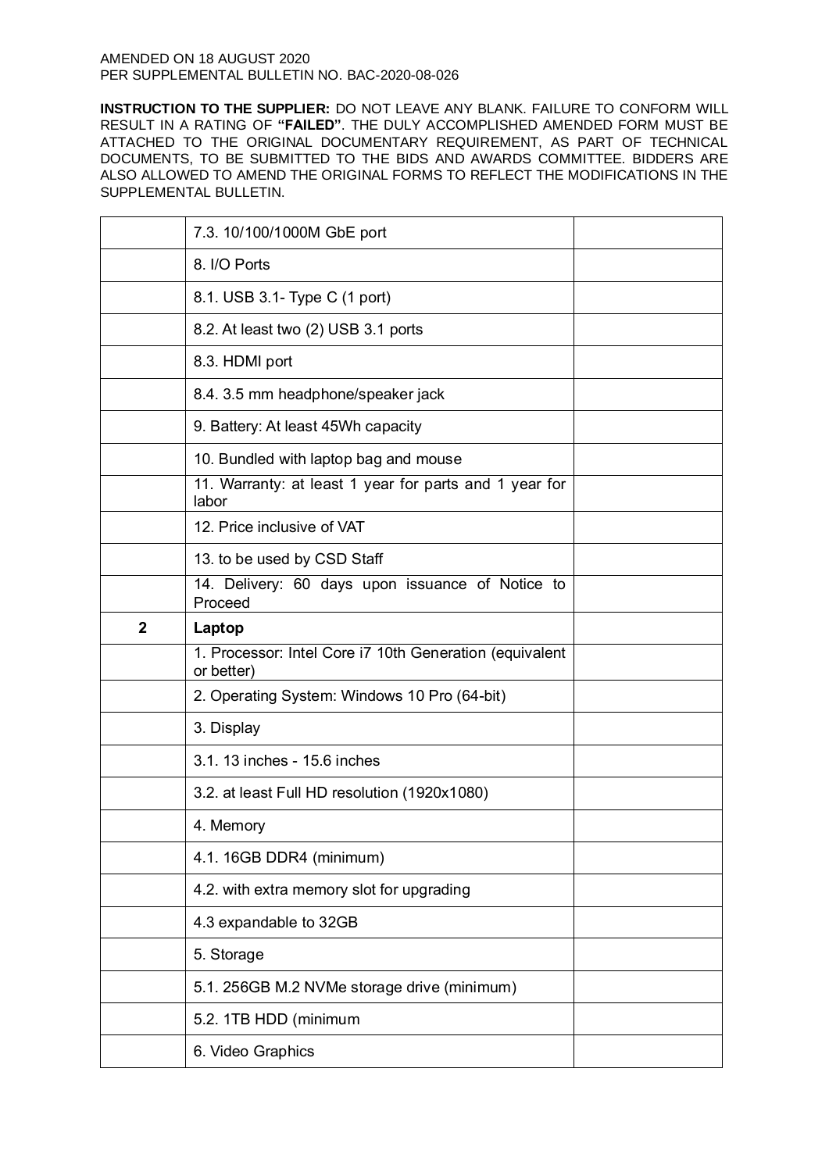|              | 7.3. 10/100/1000M GbE port                                            |  |
|--------------|-----------------------------------------------------------------------|--|
|              | 8. I/O Ports                                                          |  |
|              | 8.1. USB 3.1- Type C (1 port)                                         |  |
|              | 8.2. At least two (2) USB 3.1 ports                                   |  |
|              | 8.3. HDMI port                                                        |  |
|              | 8.4. 3.5 mm headphone/speaker jack                                    |  |
|              | 9. Battery: At least 45Wh capacity                                    |  |
|              | 10. Bundled with laptop bag and mouse                                 |  |
|              | 11. Warranty: at least 1 year for parts and 1 year for<br>labor       |  |
|              | 12. Price inclusive of VAT                                            |  |
|              | 13. to be used by CSD Staff                                           |  |
|              | 14. Delivery: 60 days upon issuance of Notice to<br>Proceed           |  |
| $\mathbf{2}$ | Laptop                                                                |  |
|              |                                                                       |  |
|              | 1. Processor: Intel Core i7 10th Generation (equivalent<br>or better) |  |
|              | 2. Operating System: Windows 10 Pro (64-bit)                          |  |
|              | 3. Display                                                            |  |
|              | 3.1. 13 inches - 15.6 inches                                          |  |
|              | 3.2. at least Full HD resolution (1920x1080)                          |  |
|              | 4. Memory                                                             |  |
|              | 4.1. 16GB DDR4 (minimum)                                              |  |
|              | 4.2. with extra memory slot for upgrading                             |  |
|              | 4.3 expandable to 32GB                                                |  |
|              | 5. Storage                                                            |  |
|              | 5.1. 256GB M.2 NVMe storage drive (minimum)                           |  |
|              | 5.2. 1TB HDD (minimum                                                 |  |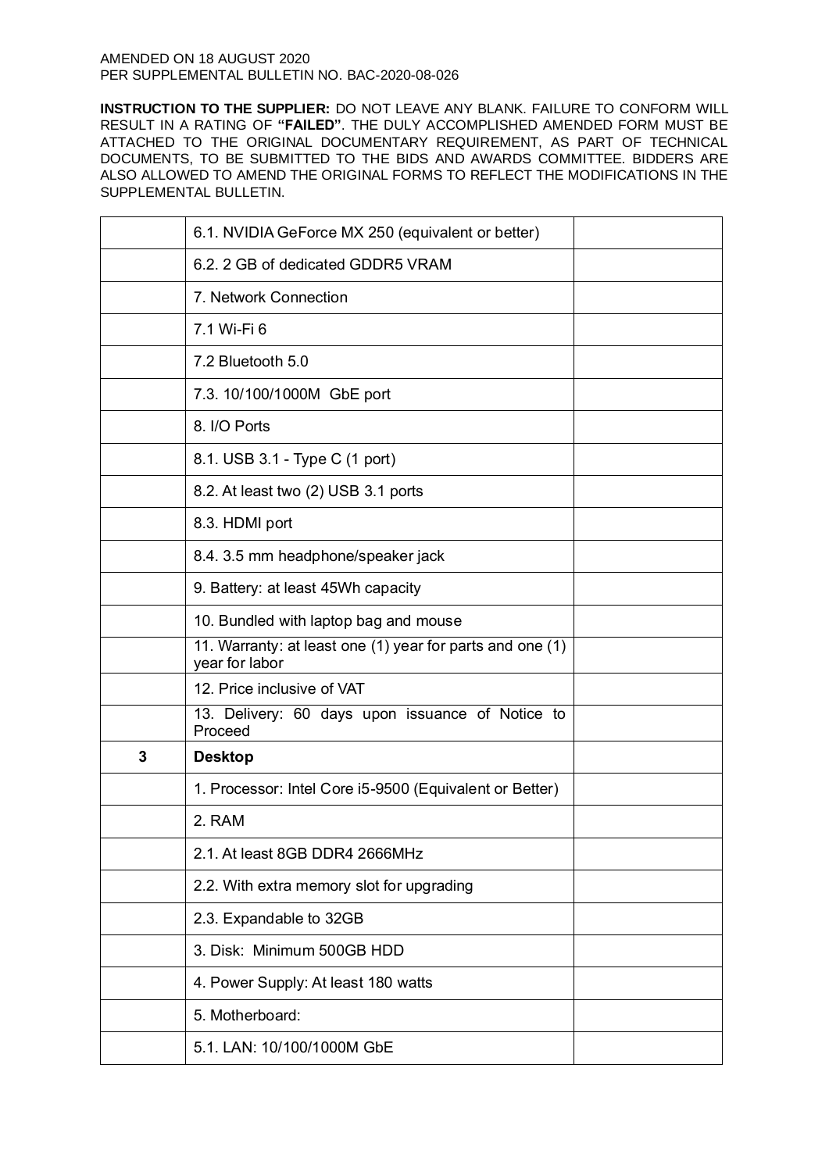|   | 6.1. NVIDIA GeForce MX 250 (equivalent or better)                           |  |
|---|-----------------------------------------------------------------------------|--|
|   | 6.2. 2 GB of dedicated GDDR5 VRAM                                           |  |
|   | 7. Network Connection                                                       |  |
|   | 7.1 Wi-Fi 6                                                                 |  |
|   | 7.2 Bluetooth 5.0                                                           |  |
|   | 7.3. 10/100/1000M GbE port                                                  |  |
|   | 8. I/O Ports                                                                |  |
|   | 8.1. USB 3.1 - Type C (1 port)                                              |  |
|   | 8.2. At least two (2) USB 3.1 ports                                         |  |
|   | 8.3. HDMI port                                                              |  |
|   | 8.4. 3.5 mm headphone/speaker jack                                          |  |
|   | 9. Battery: at least 45Wh capacity                                          |  |
|   | 10. Bundled with laptop bag and mouse                                       |  |
|   | 11. Warranty: at least one (1) year for parts and one (1)<br>year for labor |  |
|   | 12. Price inclusive of VAT                                                  |  |
|   | 13. Delivery: 60 days upon issuance of Notice to<br>Proceed                 |  |
| 3 | <b>Desktop</b>                                                              |  |
|   | 1. Processor: Intel Core i5-9500 (Equivalent or Better)                     |  |
|   | 2. RAM                                                                      |  |
|   | 2.1. At least 8GB DDR4 2666MHz                                              |  |
|   | 2.2. With extra memory slot for upgrading                                   |  |
|   | 2.3. Expandable to 32GB                                                     |  |
|   | 3. Disk: Minimum 500GB HDD                                                  |  |
|   | 4. Power Supply: At least 180 watts                                         |  |
|   | 5. Motherboard:                                                             |  |
|   | 5.1. LAN: 10/100/1000M GbE                                                  |  |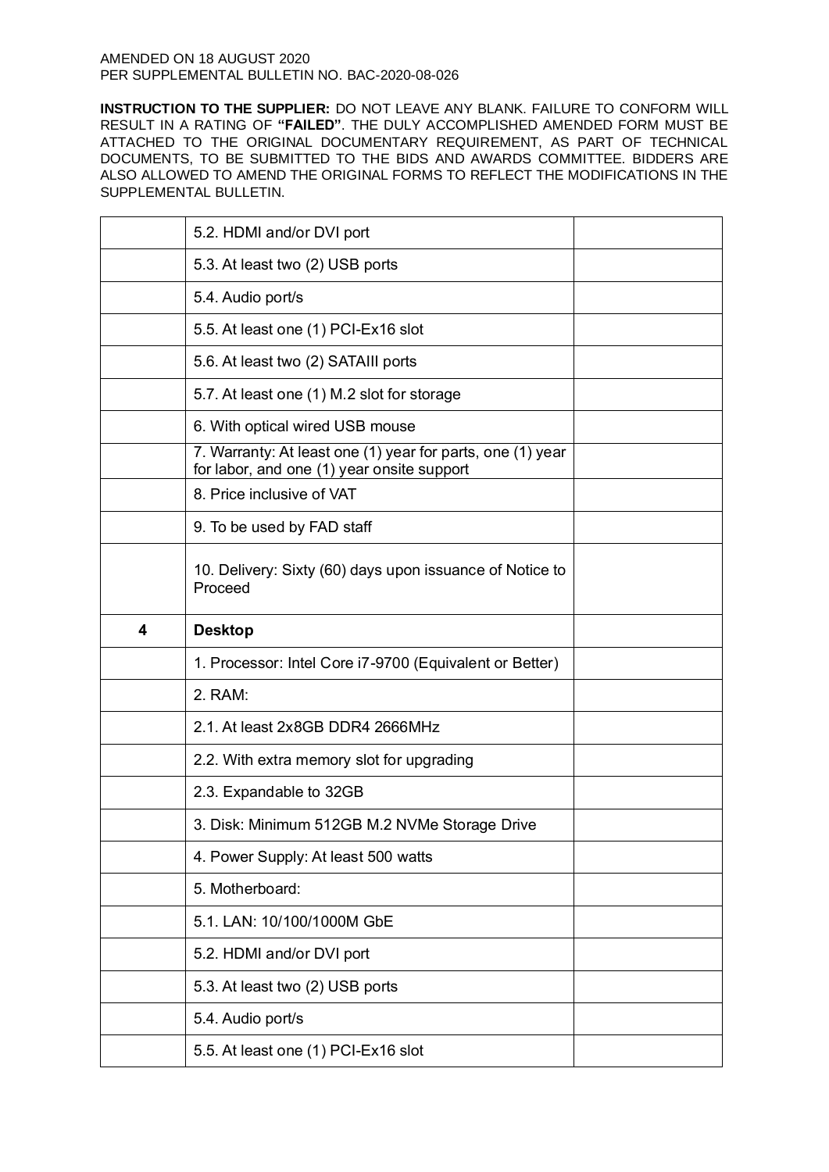|   | 5.2. HDMI and/or DVI port                                                                                |  |
|---|----------------------------------------------------------------------------------------------------------|--|
|   | 5.3. At least two (2) USB ports                                                                          |  |
|   | 5.4. Audio port/s                                                                                        |  |
|   | 5.5. At least one (1) PCI-Ex16 slot                                                                      |  |
|   | 5.6. At least two (2) SATAIII ports                                                                      |  |
|   | 5.7. At least one (1) M.2 slot for storage                                                               |  |
|   | 6. With optical wired USB mouse                                                                          |  |
|   | 7. Warranty: At least one (1) year for parts, one (1) year<br>for labor, and one (1) year onsite support |  |
|   | 8. Price inclusive of VAT                                                                                |  |
|   | 9. To be used by FAD staff                                                                               |  |
|   | 10. Delivery: Sixty (60) days upon issuance of Notice to<br>Proceed                                      |  |
| 4 | <b>Desktop</b>                                                                                           |  |
|   |                                                                                                          |  |
|   | 1. Processor: Intel Core i7-9700 (Equivalent or Better)                                                  |  |
|   | 2. RAM:                                                                                                  |  |
|   | 2.1. At least 2x8GB DDR4 2666MHz                                                                         |  |
|   | 2.2. With extra memory slot for upgrading                                                                |  |
|   | 2.3. Expandable to 32GB                                                                                  |  |
|   | 3. Disk: Minimum 512GB M.2 NVMe Storage Drive                                                            |  |
|   | 4. Power Supply: At least 500 watts                                                                      |  |
|   | 5. Motherboard:                                                                                          |  |
|   | 5.1. LAN: 10/100/1000M GbE                                                                               |  |
|   | 5.2. HDMI and/or DVI port                                                                                |  |
|   | 5.3. At least two (2) USB ports                                                                          |  |
|   | 5.4. Audio port/s                                                                                        |  |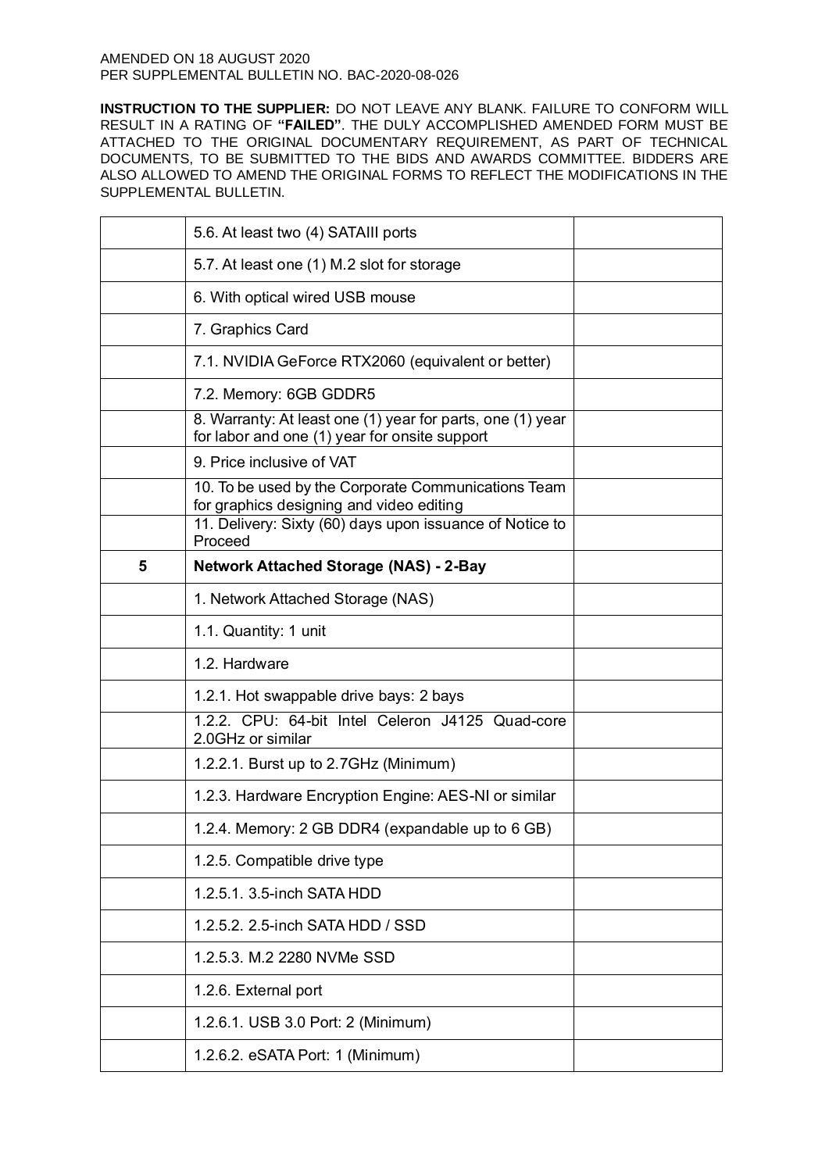|   | 5.6. At least two (4) SATAIII ports                                                                         |  |
|---|-------------------------------------------------------------------------------------------------------------|--|
|   | 5.7. At least one (1) M.2 slot for storage                                                                  |  |
|   | 6. With optical wired USB mouse                                                                             |  |
|   | 7. Graphics Card                                                                                            |  |
|   | 7.1. NVIDIA GeForce RTX2060 (equivalent or better)                                                          |  |
|   | 7.2. Memory: 6GB GDDR5                                                                                      |  |
|   | 8. Warranty: At least one (1) year for parts, one (1) year<br>for labor and one (1) year for onsite support |  |
|   | 9. Price inclusive of VAT                                                                                   |  |
|   | 10. To be used by the Corporate Communications Team<br>for graphics designing and video editing             |  |
|   | 11. Delivery: Sixty (60) days upon issuance of Notice to<br>Proceed                                         |  |
| 5 | <b>Network Attached Storage (NAS) - 2-Bay</b>                                                               |  |
|   | 1. Network Attached Storage (NAS)                                                                           |  |
|   | 1.1. Quantity: 1 unit                                                                                       |  |
|   | 1.2. Hardware                                                                                               |  |
|   | 1.2.1. Hot swappable drive bays: 2 bays                                                                     |  |
|   | 1.2.2. CPU: 64-bit Intel Celeron J4125 Quad-core<br>2.0GHz or similar                                       |  |
|   | 1.2.2.1. Burst up to 2.7GHz (Minimum)                                                                       |  |
|   | 1.2.3. Hardware Encryption Engine: AES-NI or similar                                                        |  |
|   | 1.2.4. Memory: 2 GB DDR4 (expandable up to 6 GB)                                                            |  |
|   | 1.2.5. Compatible drive type                                                                                |  |
|   | 1.2.5.1. 3.5-inch SATA HDD                                                                                  |  |
|   | 1.2.5.2. 2.5-inch SATA HDD / SSD                                                                            |  |
|   | 1.2.5.3. M.2 2280 NVMe SSD                                                                                  |  |
|   | 1.2.6. External port                                                                                        |  |
|   | 1.2.6.1. USB 3.0 Port: 2 (Minimum)                                                                          |  |
|   | 1.2.6.2. eSATA Port: 1 (Minimum)                                                                            |  |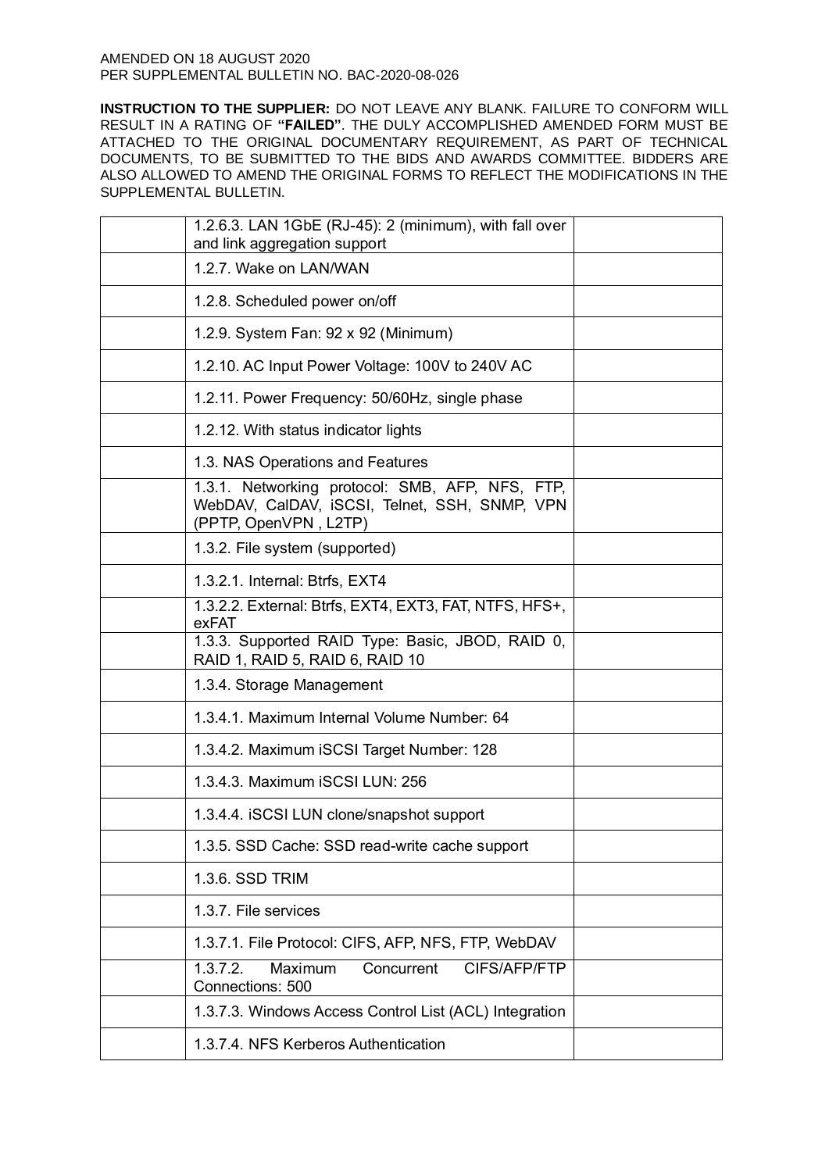| 1.2.6.3. LAN 1GbE (RJ-45): 2 (minimum), with fall over<br>and link aggregation support                                    |  |
|---------------------------------------------------------------------------------------------------------------------------|--|
| 1.2.7. Wake on LAN/WAN                                                                                                    |  |
| 1.2.8. Scheduled power on/off                                                                                             |  |
| 1.2.9. System Fan: 92 x 92 (Minimum)                                                                                      |  |
| 1.2.10. AC Input Power Voltage: 100V to 240V AC                                                                           |  |
| 1.2.11. Power Frequency: 50/60Hz, single phase                                                                            |  |
| 1.2.12. With status indicator lights                                                                                      |  |
| 1.3. NAS Operations and Features                                                                                          |  |
| 1.3.1. Networking protocol: SMB, AFP, NFS, FTP,<br>WebDAV, CalDAV, iSCSI, Telnet, SSH, SNMP, VPN<br>(PPTP, OpenVPN, L2TP) |  |
| 1.3.2. File system (supported)                                                                                            |  |
| 1.3.2.1. Internal: Btrfs, EXT4                                                                                            |  |
| 1.3.2.2. External: Btrfs, EXT4, EXT3, FAT, NTFS, HFS+,<br>exFAT                                                           |  |
| 1.3.3. Supported RAID Type: Basic, JBOD, RAID 0,<br>RAID 1, RAID 5, RAID 6, RAID 10                                       |  |
| 1.3.4. Storage Management                                                                                                 |  |
| 1.3.4.1. Maximum Internal Volume Number: 64                                                                               |  |
| 1.3.4.2. Maximum iSCSI Target Number: 128                                                                                 |  |
| 1.3.4.3. Maximum iSCSI LUN: 256                                                                                           |  |
| 1.3.4.4. ISCSI LUN clone/snapshot support                                                                                 |  |
| 1.3.5. SSD Cache: SSD read-write cache support                                                                            |  |
| 1.3.6. SSD TRIM                                                                                                           |  |
| 1.3.7. File services                                                                                                      |  |
| 1.3.7.1. File Protocol: CIFS, AFP, NFS, FTP, WebDAV                                                                       |  |
| CIFS/AFP/FTP<br>Maximum<br>Concurrent<br>1.3.7.2.<br>Connections: 500                                                     |  |
| 1.3.7.3. Windows Access Control List (ACL) Integration                                                                    |  |
| 1.3.7.4. NFS Kerberos Authentication                                                                                      |  |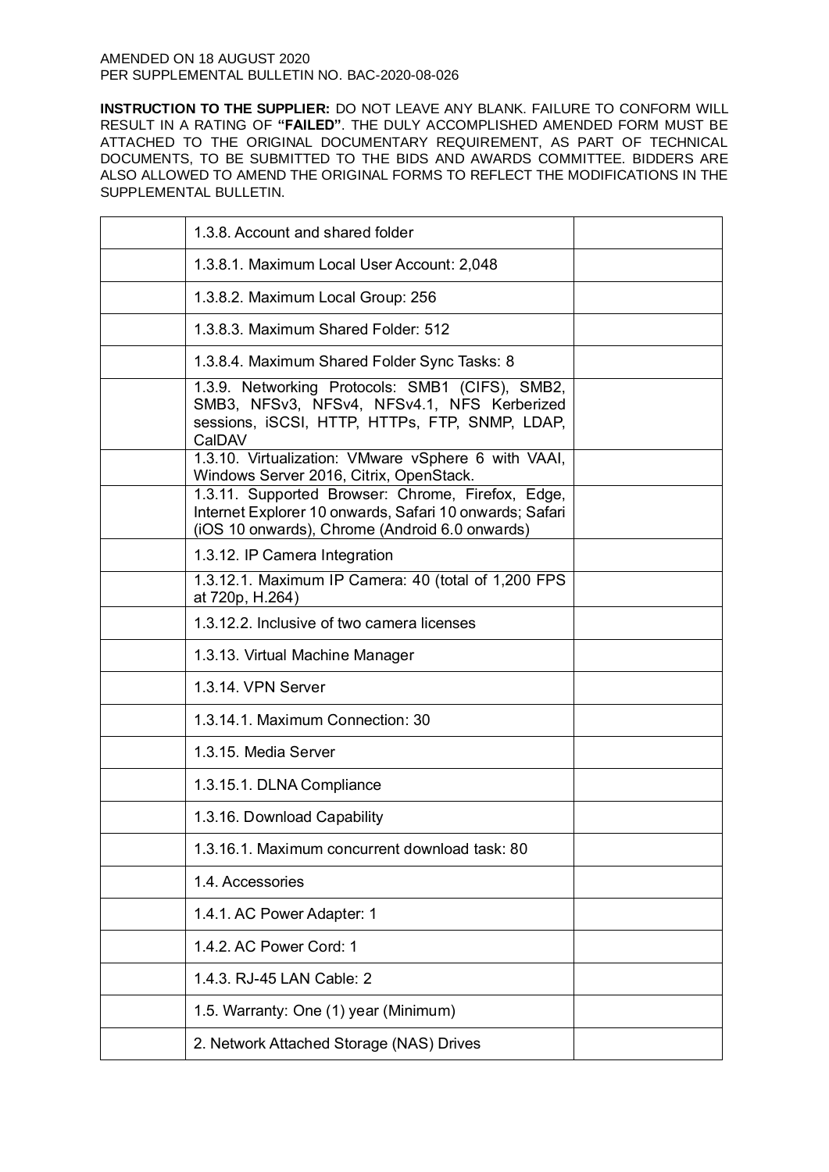| 1.3.8. Account and shared folder                                                                                                                               |  |
|----------------------------------------------------------------------------------------------------------------------------------------------------------------|--|
| 1.3.8.1. Maximum Local User Account: 2,048                                                                                                                     |  |
| 1.3.8.2. Maximum Local Group: 256                                                                                                                              |  |
| 1.3.8.3. Maximum Shared Folder: 512                                                                                                                            |  |
| 1.3.8.4. Maximum Shared Folder Sync Tasks: 8                                                                                                                   |  |
| 1.3.9. Networking Protocols: SMB1 (CIFS), SMB2,<br>SMB3, NFSv3, NFSv4, NFSv4.1, NFS Kerberized<br>sessions, iSCSI, HTTP, HTTPs, FTP, SNMP, LDAP,<br>CalDAV     |  |
| 1.3.10. Virtualization: VMware vSphere 6 with VAAI,<br>Windows Server 2016, Citrix, OpenStack.                                                                 |  |
| 1.3.11. Supported Browser: Chrome, Firefox, Edge,<br>Internet Explorer 10 onwards, Safari 10 onwards; Safari<br>(iOS 10 onwards), Chrome (Android 6.0 onwards) |  |
| 1.3.12. IP Camera Integration                                                                                                                                  |  |
| 1.3.12.1. Maximum IP Camera: 40 (total of 1,200 FPS<br>at 720p, H.264)                                                                                         |  |
| 1.3.12.2. Inclusive of two camera licenses                                                                                                                     |  |
| 1.3.13. Virtual Machine Manager                                                                                                                                |  |
| 1.3.14. VPN Server                                                                                                                                             |  |
| 1.3.14.1. Maximum Connection: 30                                                                                                                               |  |
| 1.3.15. Media Server                                                                                                                                           |  |
| 1.3.15.1. DLNA Compliance                                                                                                                                      |  |
| 1.3.16. Download Capability                                                                                                                                    |  |
| 1.3.16.1. Maximum concurrent download task: 80                                                                                                                 |  |
| 1.4. Accessories                                                                                                                                               |  |
| 1.4.1. AC Power Adapter: 1                                                                                                                                     |  |
| 1.4.2. AC Power Cord: 1                                                                                                                                        |  |
| 1.4.3. RJ-45 LAN Cable: 2                                                                                                                                      |  |
| 1.5. Warranty: One (1) year (Minimum)                                                                                                                          |  |
| 2. Network Attached Storage (NAS) Drives                                                                                                                       |  |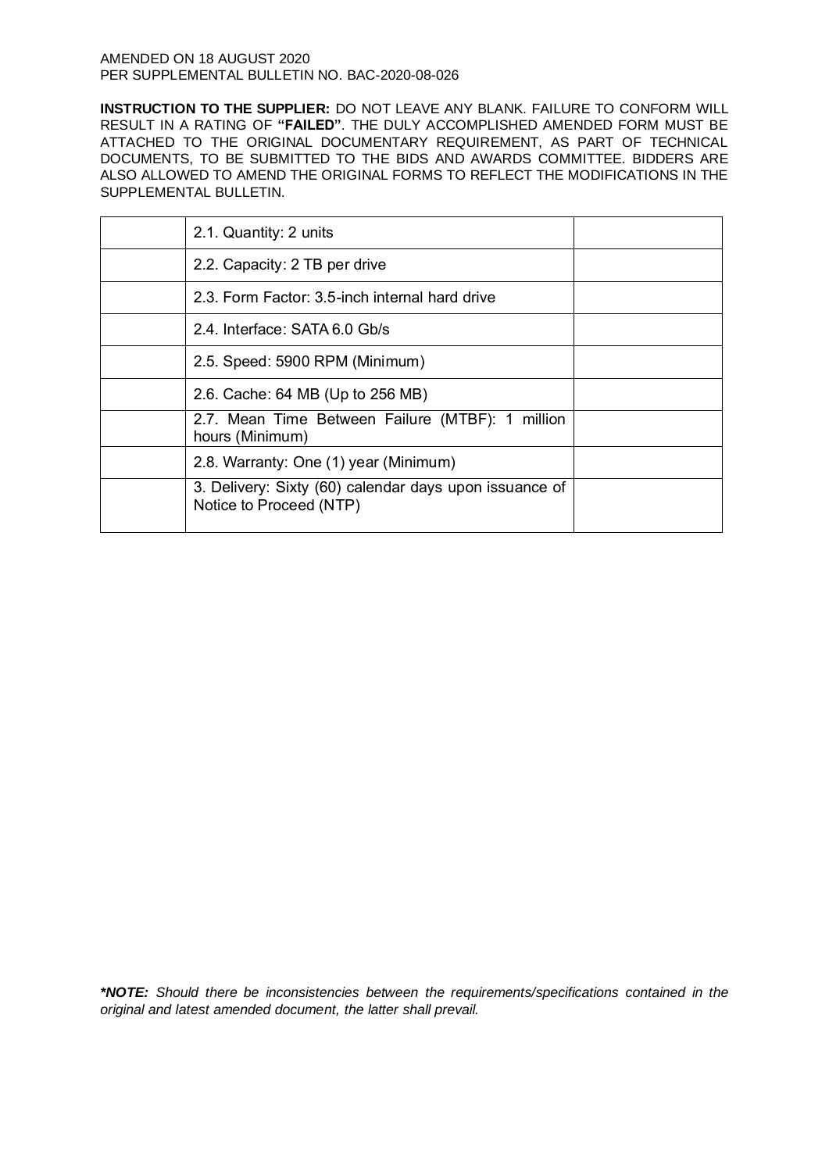**INSTRUCTION TO THE SUPPLIER:** DO NOT LEAVE ANY BLANK. FAILURE TO CONFORM WILL RESULT IN A RATING OF **"FAILED"**. THE DULY ACCOMPLISHED AMENDED FORM MUST BE ATTACHED TO THE ORIGINAL DOCUMENTARY REQUIREMENT, AS PART OF TECHNICAL DOCUMENTS, TO BE SUBMITTED TO THE BIDS AND AWARDS COMMITTEE. BIDDERS ARE ALSO ALLOWED TO AMEND THE ORIGINAL FORMS TO REFLECT THE MODIFICATIONS IN THE SUPPLEMENTAL BULLETIN.

| 2.1. Quantity: 2 units                                                            |  |
|-----------------------------------------------------------------------------------|--|
| 2.2. Capacity: 2 TB per drive                                                     |  |
| 2.3. Form Factor: 3.5-inch internal hard drive                                    |  |
| 2.4. Interface: SATA 6.0 Gb/s                                                     |  |
| 2.5. Speed: 5900 RPM (Minimum)                                                    |  |
| 2.6. Cache: 64 MB (Up to 256 MB)                                                  |  |
| 2.7. Mean Time Between Failure (MTBF): 1 million<br>hours (Minimum)               |  |
| 2.8. Warranty: One (1) year (Minimum)                                             |  |
| 3. Delivery: Sixty (60) calendar days upon issuance of<br>Notice to Proceed (NTP) |  |

*\*NOTE: Should there be inconsistencies between the requirements/specifications contained in the original and latest amended document, the latter shall prevail.*